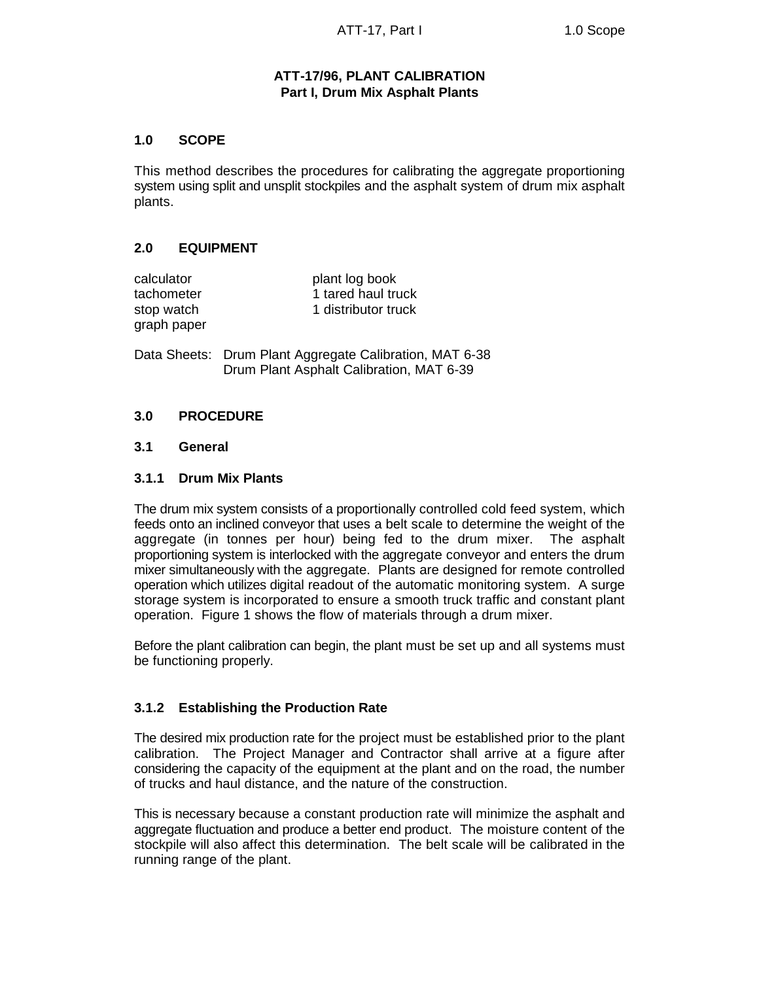# **ATT-17/96, PLANT CALIBRATION Part I, Drum Mix Asphalt Plants**

### **1.0 SCOPE**

This method describes the procedures for calibrating the aggregate proportioning system using split and unsplit stockpiles and the asphalt system of drum mix asphalt plants.

# **2.0 EQUIPMENT**

| calculator  |
|-------------|
| tachometer  |
| stop watch  |
| graph paper |

plant log book 1 tared haul truck 1 distributor truck

Data Sheets: Drum Plant Aggregate Calibration, MAT 6-38 Drum Plant Asphalt Calibration, MAT 6-39

#### **3.0 PROCEDURE**

#### **3.1 General**

#### **3.1.1 Drum Mix Plants**

The drum mix system consists of a proportionally controlled cold feed system, which feeds onto an inclined conveyor that uses a belt scale to determine the weight of the aggregate (in tonnes per hour) being fed to the drum mixer. The asphalt proportioning system is interlocked with the aggregate conveyor and enters the drum mixer simultaneously with the aggregate. Plants are designed for remote controlled operation which utilizes digital readout of the automatic monitoring system. A surge storage system is incorporated to ensure a smooth truck traffic and constant plant operation. Figure 1 shows the flow of materials through a drum mixer.

Before the plant calibration can begin, the plant must be set up and all systems must be functioning properly.

#### **3.1.2 Establishing the Production Rate**

The desired mix production rate for the project must be established prior to the plant calibration. The Project Manager and Contractor shall arrive at a figure after considering the capacity of the equipment at the plant and on the road, the number of trucks and haul distance, and the nature of the construction.

This is necessary because a constant production rate will minimize the asphalt and aggregate fluctuation and produce a better end product. The moisture content of the stockpile will also affect this determination. The belt scale will be calibrated in the running range of the plant.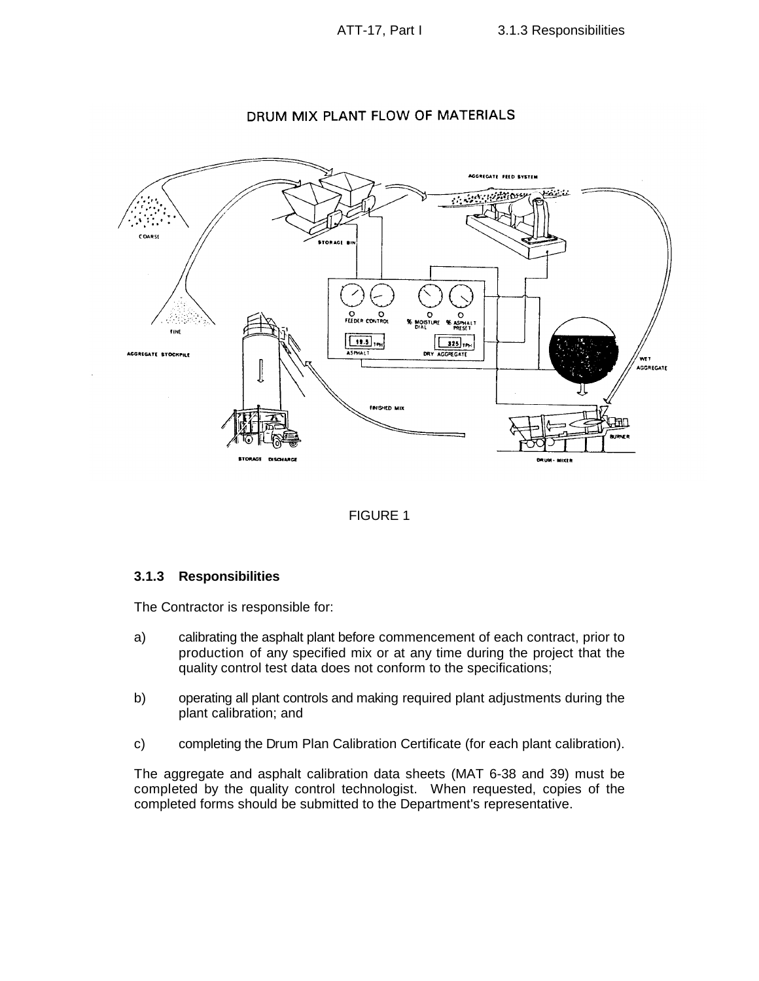



# DRUM MIX PLANT FLOW OF MATERIALS



#### **3.1.3 Responsibilities**

The Contractor is responsible for:

- a) calibrating the asphalt plant before commencement of each contract, prior to production of any specified mix or at any time during the project that the quality control test data does not conform to the specifications;
- b) operating all plant controls and making required plant adjustments during the plant calibration; and
- c) completing the Drum Plan Calibration Certificate (for each plant calibration).

The aggregate and asphalt calibration data sheets (MAT 6-38 and 39) must be completed by the quality control technologist. When requested, copies of the completed forms should be submitted to the Department's representative.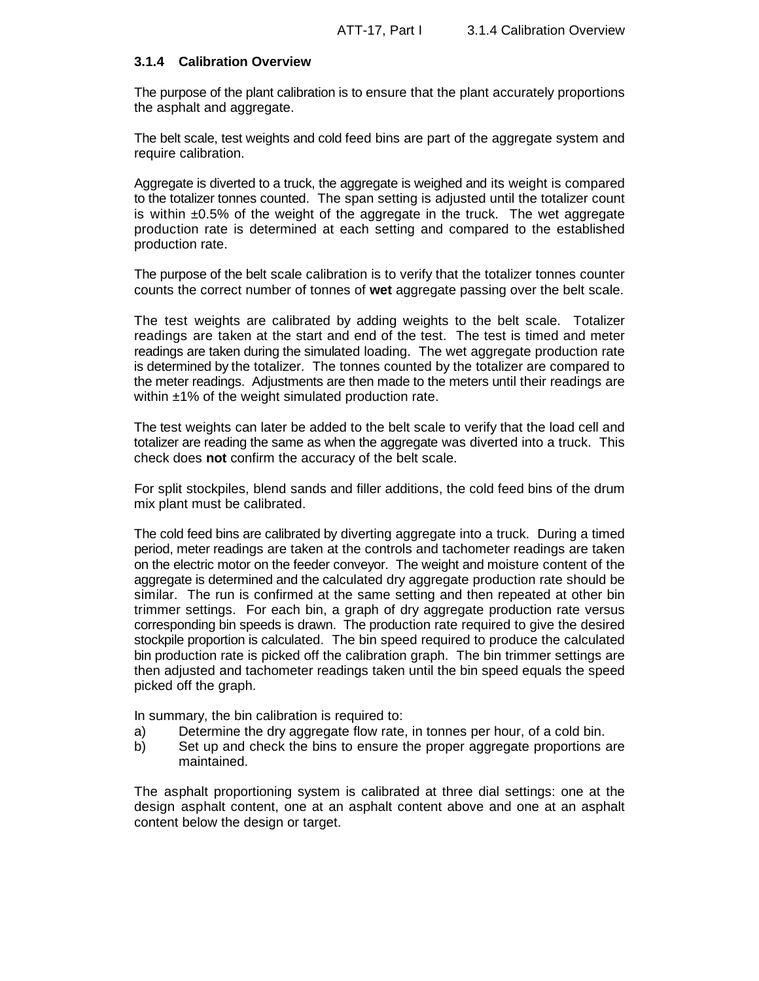#### **3.1.4 Calibration Overview**

The purpose of the plant calibration is to ensure that the plant accurately proportions the asphalt and aggregate.

The belt scale, test weights and cold feed bins are part of the aggregate system and require calibration.

Aggregate is diverted to a truck, the aggregate is weighed and its weight is compared to the totalizer tonnes counted. The span setting is adjusted until the totalizer count is within  $\pm 0.5\%$  of the weight of the aggregate in the truck. The wet aggregate production rate is determined at each setting and compared to the established production rate.

The purpose of the belt scale calibration is to verify that the totalizer tonnes counter counts the correct number of tonnes of **wet** aggregate passing over the belt scale.

The test weights are calibrated by adding weights to the belt scale. Totalizer readings are taken at the start and end of the test. The test is timed and meter readings are taken during the simulated loading. The wet aggregate production rate is determined by the totalizer. The tonnes counted by the totalizer are compared to the meter readings. Adjustments are then made to the meters until their readings are within ±1% of the weight simulated production rate.

The test weights can later be added to the belt scale to verify that the load cell and totalizer are reading the same as when the aggregate was diverted into a truck. This check does **not** confirm the accuracy of the belt scale.

For split stockpiles, blend sands and filler additions, the cold feed bins of the drum mix plant must be calibrated.

The cold feed bins are calibrated by diverting aggregate into a truck. During a timed period, meter readings are taken at the controls and tachometer readings are taken on the electric motor on the feeder conveyor. The weight and moisture content of the aggregate is determined and the calculated dry aggregate production rate should be similar. The run is confirmed at the same setting and then repeated at other bin trimmer settings. For each bin, a graph of dry aggregate production rate versus corresponding bin speeds is drawn. The production rate required to give the desired stockpile proportion is calculated. The bin speed required to produce the calculated bin production rate is picked off the calibration graph. The bin trimmer settings are then adjusted and tachometer readings taken until the bin speed equals the speed picked off the graph.

In summary, the bin calibration is required to:

- a) Determine the dry aggregate flow rate, in tonnes per hour, of a cold bin.
- b) Set up and check the bins to ensure the proper aggregate proportions are maintained.

The asphalt proportioning system is calibrated at three dial settings: one at the design asphalt content, one at an asphalt content above and one at an asphalt content below the design or target.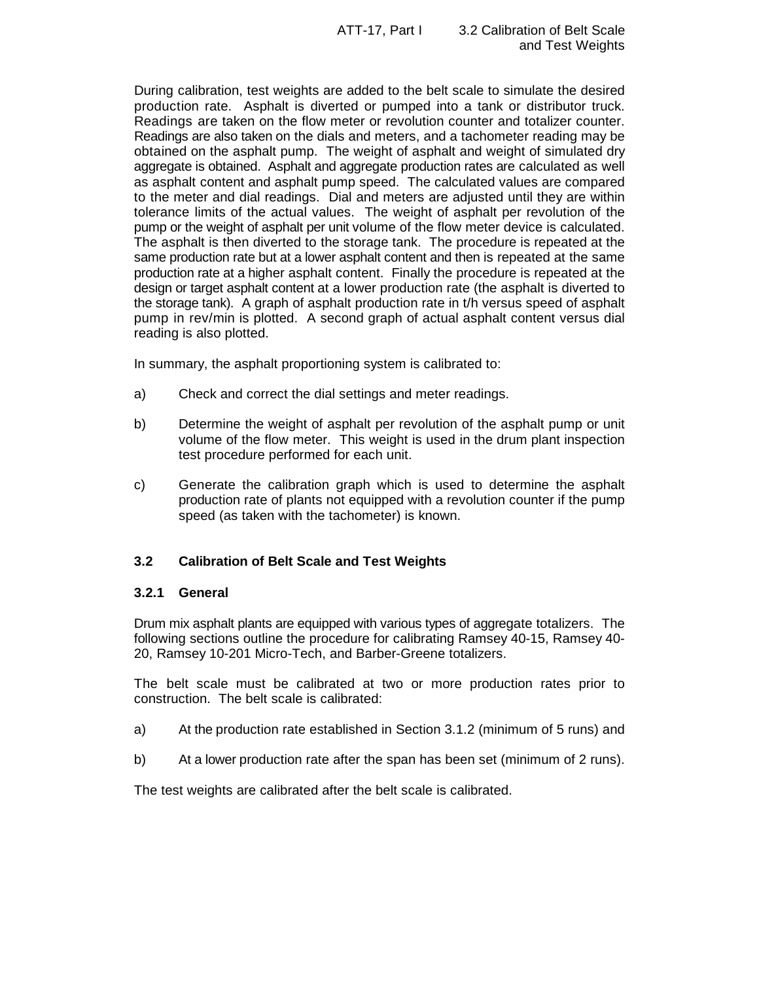During calibration, test weights are added to the belt scale to simulate the desired production rate. Asphalt is diverted or pumped into a tank or distributor truck. Readings are taken on the flow meter or revolution counter and totalizer counter. Readings are also taken on the dials and meters, and a tachometer reading may be obtained on the asphalt pump. The weight of asphalt and weight of simulated dry aggregate is obtained. Asphalt and aggregate production rates are calculated as well as asphalt content and asphalt pump speed. The calculated values are compared to the meter and dial readings. Dial and meters are adjusted until they are within tolerance limits of the actual values. The weight of asphalt per revolution of the pump or the weight of asphalt per unit volume of the flow meter device is calculated. The asphalt is then diverted to the storage tank. The procedure is repeated at the same production rate but at a lower asphalt content and then is repeated at the same production rate at a higher asphalt content. Finally the procedure is repeated at the design or target asphalt content at a lower production rate (the asphalt is diverted to the storage tank). A graph of asphalt production rate in t/h versus speed of asphalt pump in rev/min is plotted. A second graph of actual asphalt content versus dial reading is also plotted.

In summary, the asphalt proportioning system is calibrated to:

- a) Check and correct the dial settings and meter readings.
- b) Determine the weight of asphalt per revolution of the asphalt pump or unit volume of the flow meter. This weight is used in the drum plant inspection test procedure performed for each unit.
- c) Generate the calibration graph which is used to determine the asphalt production rate of plants not equipped with a revolution counter if the pump speed (as taken with the tachometer) is known.

# **3.2 Calibration of Belt Scale and Test Weights**

#### **3.2.1 General**

Drum mix asphalt plants are equipped with various types of aggregate totalizers. The following sections outline the procedure for calibrating Ramsey 40-15, Ramsey 40- 20, Ramsey 10-201 Micro-Tech, and Barber-Greene totalizers.

The belt scale must be calibrated at two or more production rates prior to construction. The belt scale is calibrated:

- a) At the production rate established in Section 3.1.2 (minimum of 5 runs) and
- b) At a lower production rate after the span has been set (minimum of 2 runs).

The test weights are calibrated after the belt scale is calibrated.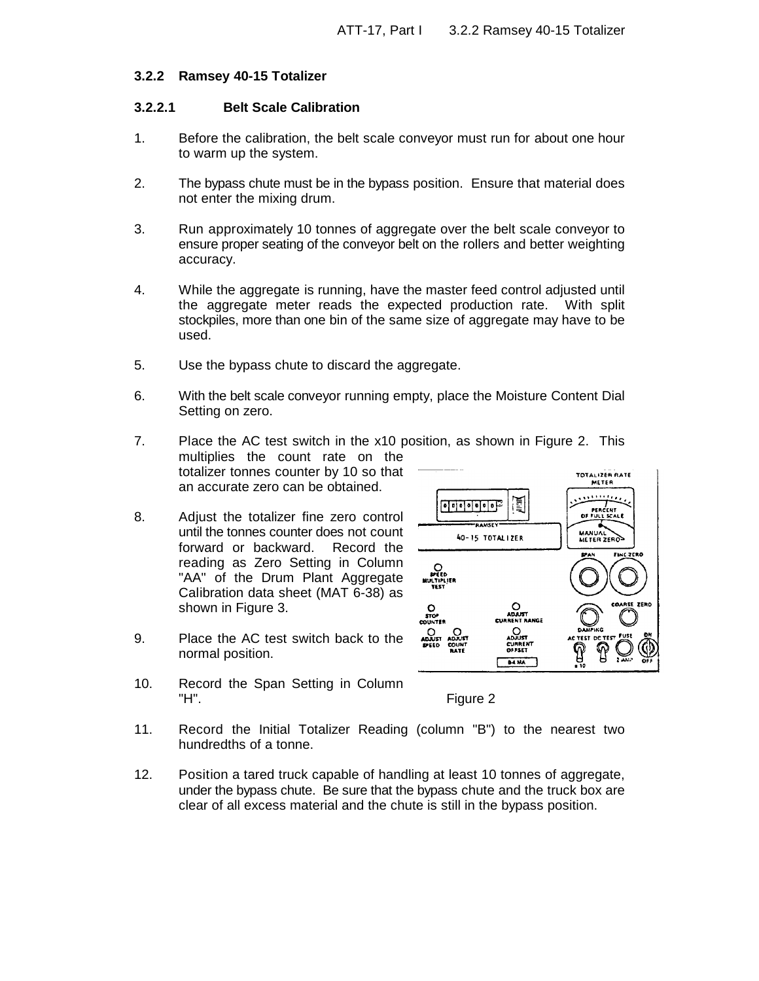#### **3.2.2 Ramsey 40-15 Totalizer**

#### **3.2.2.1 Belt Scale Calibration**

- 1. Before the calibration, the belt scale conveyor must run for about one hour to warm up the system.
- 2. The bypass chute must be in the bypass position. Ensure that material does not enter the mixing drum.
- 3. Run approximately 10 tonnes of aggregate over the belt scale conveyor to ensure proper seating of the conveyor belt on the rollers and better weighting accuracy.
- 4. While the aggregate is running, have the master feed control adjusted until the aggregate meter reads the expected production rate. With split stockpiles, more than one bin of the same size of aggregate may have to be used.
- 5. Use the bypass chute to discard the aggregate.
- 6. With the belt scale conveyor running empty, place the Moisture Content Dial Setting on zero.
- 7. Place the AC test switch in the x10 position, as shown in Figure 2. This multiplies the count rate on the totalizer tonnes counter by 10 so that an accurate zero can be obtained.
- 8. Adjust the totalizer fine zero control until the tonnes counter does not count forward or backward. Record the reading as Zero Setting in Column "AA" of the Drum Plant Aggregate Calibration data sheet (MAT 6-38) as shown in Figure 3.
- 9. Place the AC test switch back to the normal position.



10. Record the Span Setting in Column "H". Figure 2

- 11. Record the Initial Totalizer Reading (column "B") to the nearest two hundredths of a tonne.
- 12. Position a tared truck capable of handling at least 10 tonnes of aggregate, under the bypass chute. Be sure that the bypass chute and the truck box are clear of all excess material and the chute is still in the bypass position.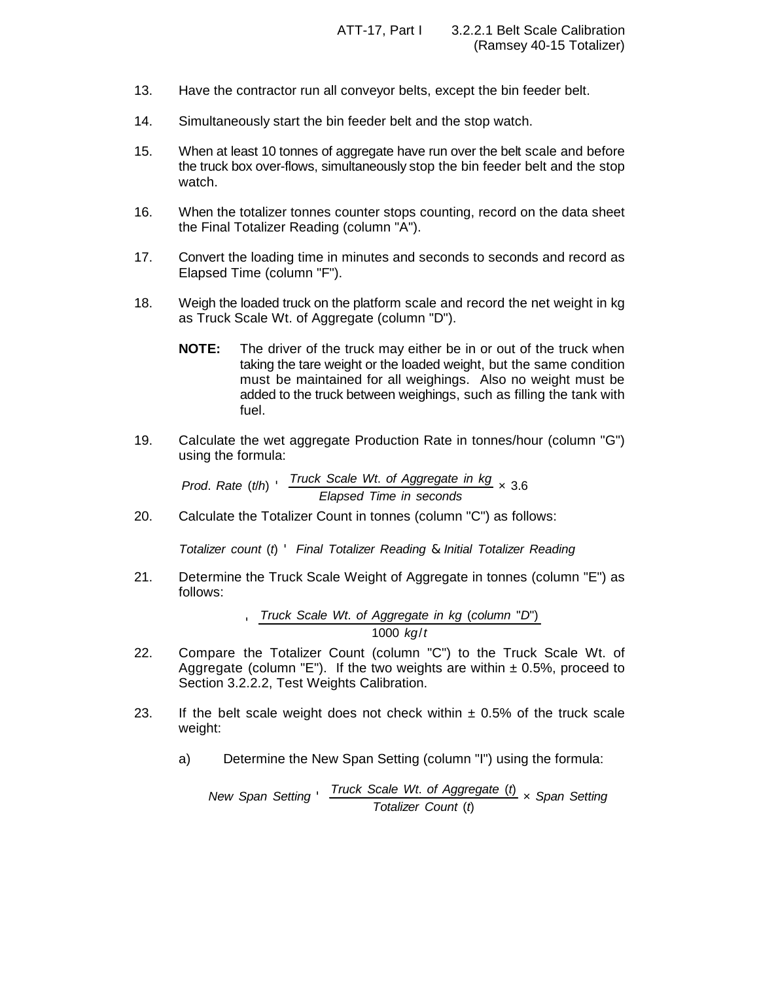- 13. Have the contractor run all conveyor belts, except the bin feeder belt.
- 14. Simultaneously start the bin feeder belt and the stop watch.
- 15. When at least 10 tonnes of aggregate have run over the belt scale and before the truck box over-flows, simultaneously stop the bin feeder belt and the stop watch.
- 16. When the totalizer tonnes counter stops counting, record on the data sheet the Final Totalizer Reading (column "A").
- 17. Convert the loading time in minutes and seconds to seconds and record as Elapsed Time (column "F").
- 18. Weigh the loaded truck on the platform scale and record the net weight in kg as Truck Scale Wt. of Aggregate (column "D").
	- **NOTE:** The driver of the truck may either be in or out of the truck when taking the tare weight or the loaded weight, but the same condition must be maintained for all weighings. Also no weight must be added to the truck between weighings, such as filling the tank with fuel.
- 19. Calculate the wet aggregate Production Rate in tonnes/hour (column "G") using the formula:

*Prod*. *Rate* (*t*/*h*) ' *Truck Scale Wt*. *of Aggregate in kg Elapsed Time in seconds* × 3.6

20. Calculate the Totalizer Count in tonnes (column "C") as follows:

*Totalizer count* (*t*) ' *Final Totalizer Reading* & *Initial Totalizer Reading*

21. Determine the Truck Scale Weight of Aggregate in tonnes (column "E") as follows:

> '*Truck Scale Wt*. *of Aggregate in kg* (*column* "*D*") 1000 *kg*/*t*

- 22. Compare the Totalizer Count (column "C") to the Truck Scale Wt. of Aggregate (column "E"). If the two weights are within  $\pm$  0.5%, proceed to Section 3.2.2.2, Test Weights Calibration.
- 23. If the belt scale weight does not check within  $\pm$  0.5% of the truck scale weight:
	- a) Determine the New Span Setting (column "I") using the formula:

*New Span Setting* ' *Truck Scale Wt*. *of Aggregate* (*t*) *Totalizer Count* (*t*) × *Span Setting*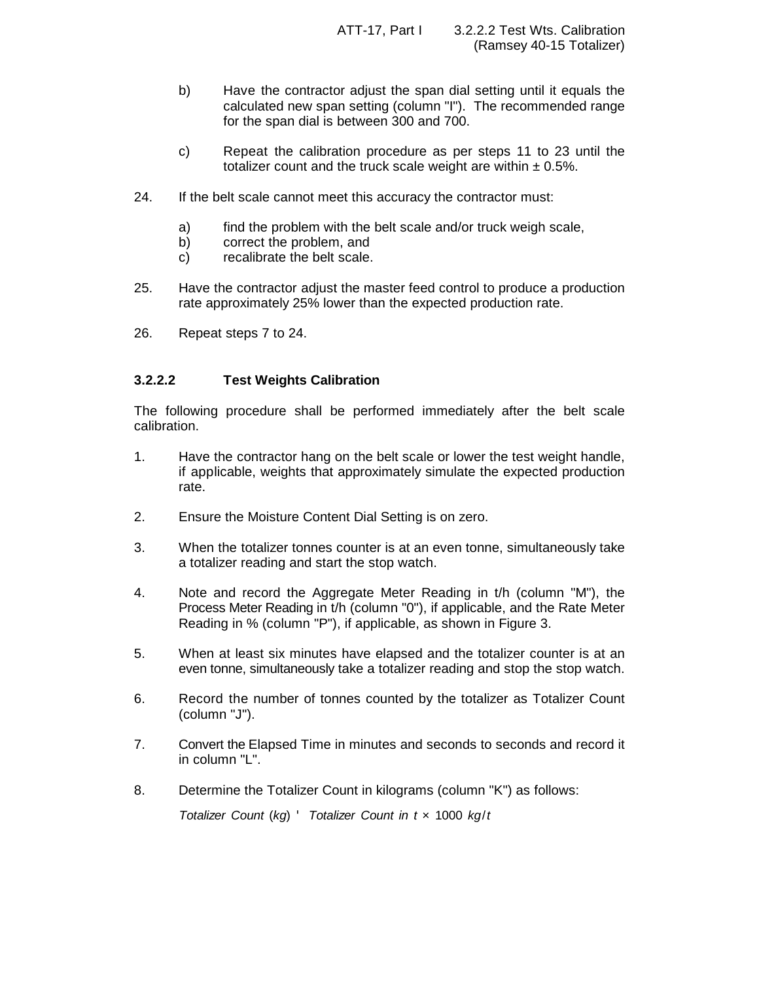- b) Have the contractor adjust the span dial setting until it equals the calculated new span setting (column "I"). The recommended range for the span dial is between 300 and 700.
- c) Repeat the calibration procedure as per steps 11 to 23 until the totalizer count and the truck scale weight are within  $\pm 0.5$ %.
- 24. If the belt scale cannot meet this accuracy the contractor must:
	- a) find the problem with the belt scale and/or truck weigh scale,
	- b) correct the problem, and
	- c) recalibrate the belt scale.
- 25. Have the contractor adjust the master feed control to produce a production rate approximately 25% lower than the expected production rate.
- 26. Repeat steps 7 to 24.

#### **3.2.2.2 Test Weights Calibration**

The following procedure shall be performed immediately after the belt scale calibration.

- 1. Have the contractor hang on the belt scale or lower the test weight handle, if applicable, weights that approximately simulate the expected production rate.
- 2. Ensure the Moisture Content Dial Setting is on zero.
- 3. When the totalizer tonnes counter is at an even tonne, simultaneously take a totalizer reading and start the stop watch.
- 4. Note and record the Aggregate Meter Reading in t/h (column "M"), the Process Meter Reading in t/h (column "0"), if applicable, and the Rate Meter Reading in % (column "P"), if applicable, as shown in Figure 3.
- 5. When at least six minutes have elapsed and the totalizer counter is at an even tonne, simultaneously take a totalizer reading and stop the stop watch.
- 6. Record the number of tonnes counted by the totalizer as Totalizer Count (column "J").
- 7. Convert the Elapsed Time in minutes and seconds to seconds and record it in column "L".
- 8. Determine the Totalizer Count in kilograms (column "K") as follows:

*Totalizer Count* (*kg*) ' *Totalizer Count in t* × 1000 *kg*/*t*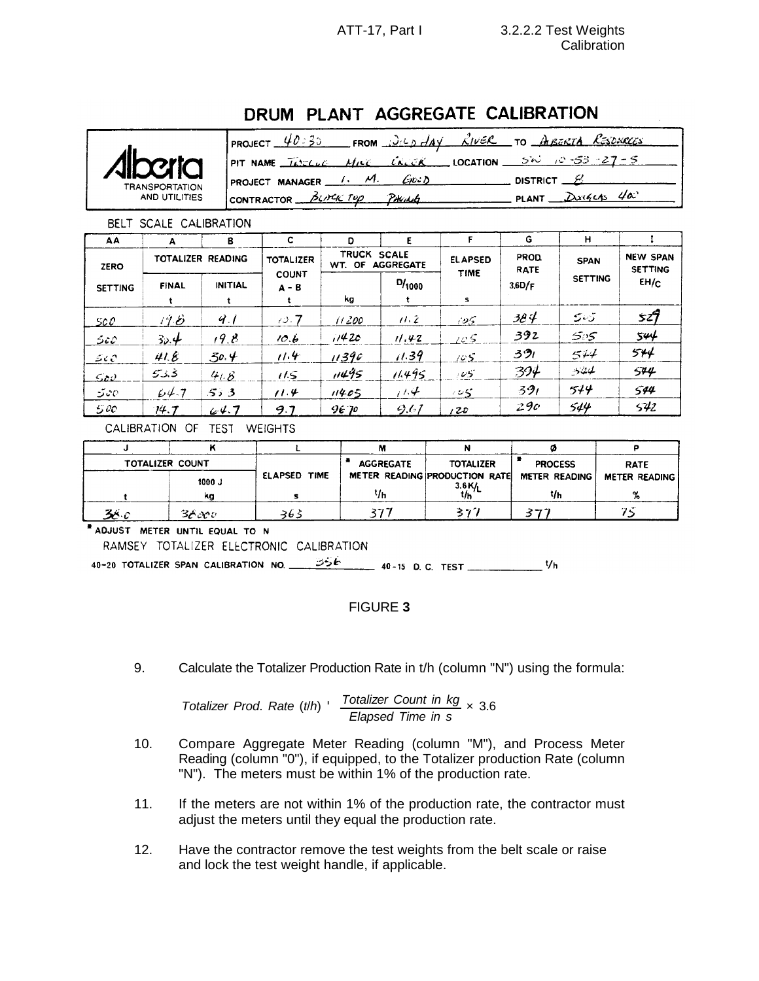# DRUM PLANT AGGREGATE CALIBRATION

|                       | 40:30<br>FROM $\frac{\partial \psi}{\partial \theta}$ $\frac{\partial \psi}{\partial \theta}$<br>PROJECT | <u>RIVER</u> TO AIBERTA RESOXECES |
|-----------------------|----------------------------------------------------------------------------------------------------------|-----------------------------------|
| <b>Alberta</b>        | NAME $\overline{\text{IAMCL}}$<br><b>CALCK</b><br>MILE<br>PIT                                            | <b>LOCATION</b><br>$5\omega$      |
| <b>TRANSPORTATION</b> | Livi D<br><b>PROJECT MANAGER</b>                                                                         | <b>DISTRICT</b>                   |
| AND UTILITIES         | PHILLE<br>BLICK TOP<br><b>CONTRACTOR</b>                                                                 | Uo-<br>Duigens<br>PLANT           |

BELT SCALE CALIBRATION

| AA             | А                          | в                 | c                       | D                                                          |        |                               | G                          | н              |                                   |
|----------------|----------------------------|-------------------|-------------------------|------------------------------------------------------------|--------|-------------------------------|----------------------------|----------------|-----------------------------------|
| <b>ZERO</b>    |                            | TOTALIZER READING | <b>TOTALIZER</b>        | <b>TRUCK</b><br><b>SCALE</b><br>WT. OF<br><b>AGGREGATE</b> |        | <b>ELAPSED</b><br><b>TIME</b> | <b>PROD</b><br><b>RATE</b> | <b>SPAN</b>    | <b>NEW SPAN</b><br><b>SETTING</b> |
| <b>SETTING</b> | <b>FINAL</b>               | <b>INITIAL</b>    | <b>COUNT</b><br>$A - B$ | kg                                                         | D/1000 | s                             | 3.6D/F                     | <b>SETTING</b> | EH/c                              |
| <u>500.</u>    | $i\mathcal{C} \mathcal{B}$ | 9.1               | 10.7                    | 11200                                                      | 11.2   | 105.                          | 38 Y                       | 505            | 527                               |
| 5c0            | 30.4                       | 19.8              | 10.6                    | 11420                                                      | 11.42  | 105                           | 392                        | 505            | 544                               |
| 500            | 41.8                       | 30.4              | 11.4                    | 11390                                                      | 11.39  | 105                           | 391                        | 544            | 544                               |
| 500            | 3.3.3                      | 41.8              | 115                     | 11495                                                      | 11.495 | $105^{\circ}$                 | 394                        | 544            | 544                               |
| 500            | 64.7                       | 5.3               | 11.4                    | 11405                                                      | 714    | 2.55                          | 391                        | 544            | 544                               |
| 500            | 74.7                       | 64.7              | 9.7                     | 9670                                                       | 9.67   | 120                           | 290                        | 544            | 542                               |

CALIBRATION OF TEST WEIGHTS

| TOTALIZER COUNT |        |              | <b>AGGREGATE</b> | <b>TOTALIZER</b>                         | <b>PROCESS</b> | <b>RATE</b>   |
|-----------------|--------|--------------|------------------|------------------------------------------|----------------|---------------|
|                 | 1000 J | ELAPSED TIME |                  | METER READING PRODUCTION RATE<br>3.6 K/h | METER READING  | METER READING |
|                 | ka     |              | Чh               |                                          | ٧h             |               |
| 38c             | ЗАгои  | 363          |                  | スツリ                                      |                |               |

ADJUST METER UNTIL EQUAL TO N

RAMSEY TOTALIZER ELECTRONIC CALIBRATION

# FIGURE **3**

9. Calculate the Totalizer Production Rate in t/h (column "N") using the formula:

Totalizer Prod. Rate (
$$
\theta h
$$
)  $\frac{Totalizer Count in kg}{Elapse d Time in s} \times 3.6$ 

- 10. Compare Aggregate Meter Reading (column "M"), and Process Meter Reading (column "0"), if equipped, to the Totalizer production Rate (column "N"). The meters must be within 1% of the production rate.
- 11. If the meters are not within 1% of the production rate, the contractor must adjust the meters until they equal the production rate.
- 12. Have the contractor remove the test weights from the belt scale or raise and lock the test weight handle, if applicable.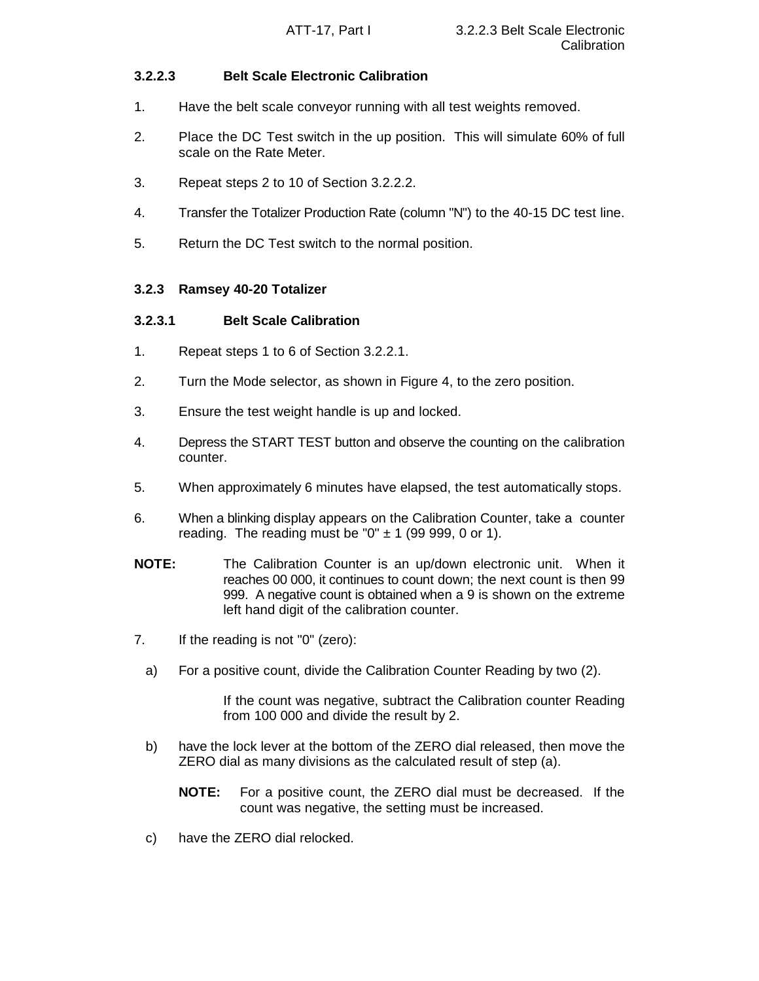# **3.2.2.3 Belt Scale Electronic Calibration**

- 1. Have the belt scale conveyor running with all test weights removed.
- 2. Place the DC Test switch in the up position. This will simulate 60% of full scale on the Rate Meter.
- 3. Repeat steps 2 to 10 of Section 3.2.2.2.
- 4. Transfer the Totalizer Production Rate (column "N") to the 40-15 DC test line.
- 5. Return the DC Test switch to the normal position.

# **3.2.3 Ramsey 40-20 Totalizer**

# **3.2.3.1 Belt Scale Calibration**

- 1. Repeat steps 1 to 6 of Section 3.2.2.1.
- 2. Turn the Mode selector, as shown in Figure 4, to the zero position.
- 3. Ensure the test weight handle is up and locked.
- 4. Depress the START TEST button and observe the counting on the calibration counter.
- 5. When approximately 6 minutes have elapsed, the test automatically stops.
- 6. When a blinking display appears on the Calibration Counter, take a counter reading. The reading must be " $0" \pm 1$  (99 999, 0 or 1).
- **NOTE:** The Calibration Counter is an up/down electronic unit. When it reaches 00 000, it continues to count down; the next count is then 99 999. A negative count is obtained when a 9 is shown on the extreme left hand digit of the calibration counter.
- 7. If the reading is not "0" (zero):
	- a) For a positive count, divide the Calibration Counter Reading by two (2).

If the count was negative, subtract the Calibration counter Reading from 100 000 and divide the result by 2.

- b) have the lock lever at the bottom of the ZERO dial released, then move the ZERO dial as many divisions as the calculated result of step (a).
	- **NOTE:** For a positive count, the ZERO dial must be decreased. If the count was negative, the setting must be increased.
- c) have the ZERO dial relocked.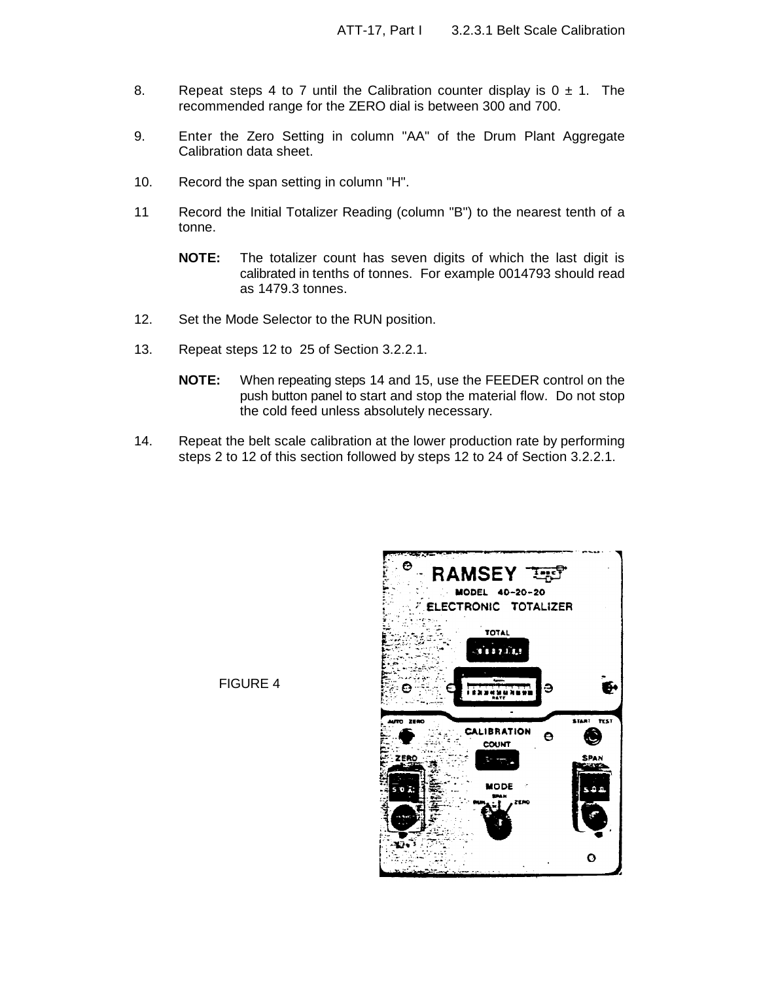- 8. Repeat steps 4 to 7 until the Calibration counter display is  $0 \pm 1$ . The recommended range for the ZERO dial is between 300 and 700.
- 9. Enter the Zero Setting in column "AA" of the Drum Plant Aggregate Calibration data sheet.
- 10. Record the span setting in column "H".
- 11 Record the Initial Totalizer Reading (column "B") to the nearest tenth of a tonne.
	- **NOTE:** The totalizer count has seven digits of which the last digit is calibrated in tenths of tonnes. For example 0014793 should read as 1479.3 tonnes.
- 12. Set the Mode Selector to the RUN position.
- 13. Repeat steps 12 to 25 of Section 3.2.2.1.
	- **NOTE:** When repeating steps 14 and 15, use the FEEDER control on the push button panel to start and stop the material flow. Do not stop the cold feed unless absolutely necessary.
- 14. Repeat the belt scale calibration at the lower production rate by performing steps 2 to 12 of this section followed by steps 12 to 24 of Section 3.2.2.1.



FIGURE 4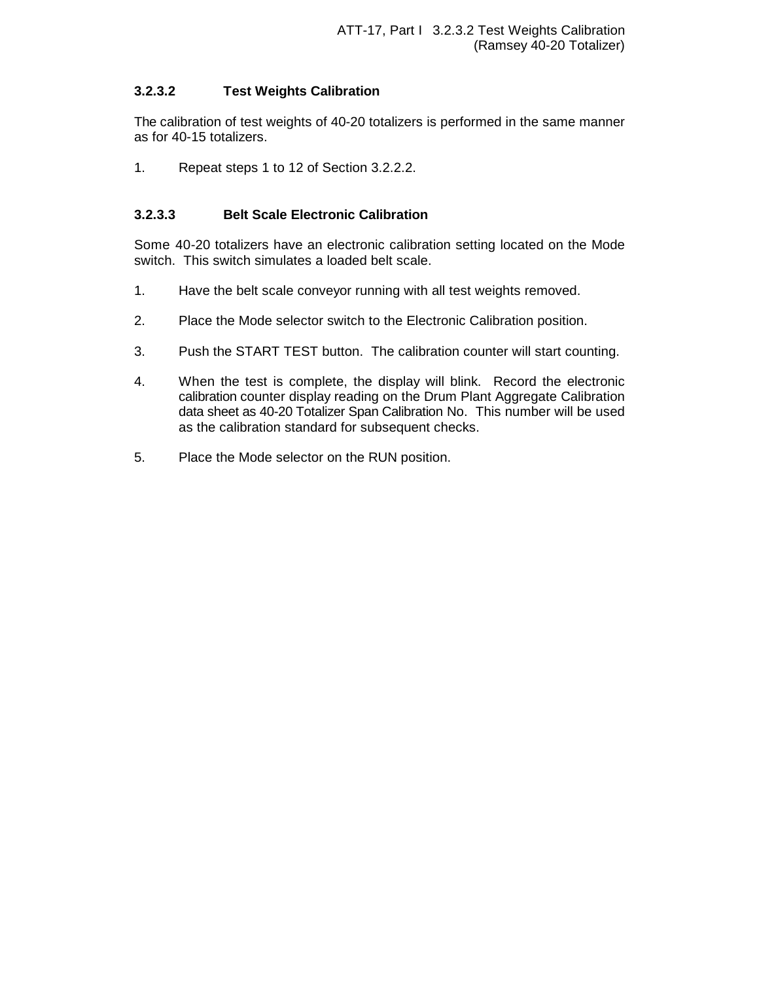# **3.2.3.2 Test Weights Calibration**

The calibration of test weights of 40-20 totalizers is performed in the same manner as for 40-15 totalizers.

1. Repeat steps 1 to 12 of Section 3.2.2.2.

# **3.2.3.3 Belt Scale Electronic Calibration**

Some 40-20 totalizers have an electronic calibration setting located on the Mode switch. This switch simulates a loaded belt scale.

- 1. Have the belt scale conveyor running with all test weights removed.
- 2. Place the Mode selector switch to the Electronic Calibration position.
- 3. Push the START TEST button. The calibration counter will start counting.
- 4. When the test is complete, the display will blink. Record the electronic calibration counter display reading on the Drum Plant Aggregate Calibration data sheet as 40-20 Totalizer Span Calibration No. This number will be used as the calibration standard for subsequent checks.
- 5. Place the Mode selector on the RUN position.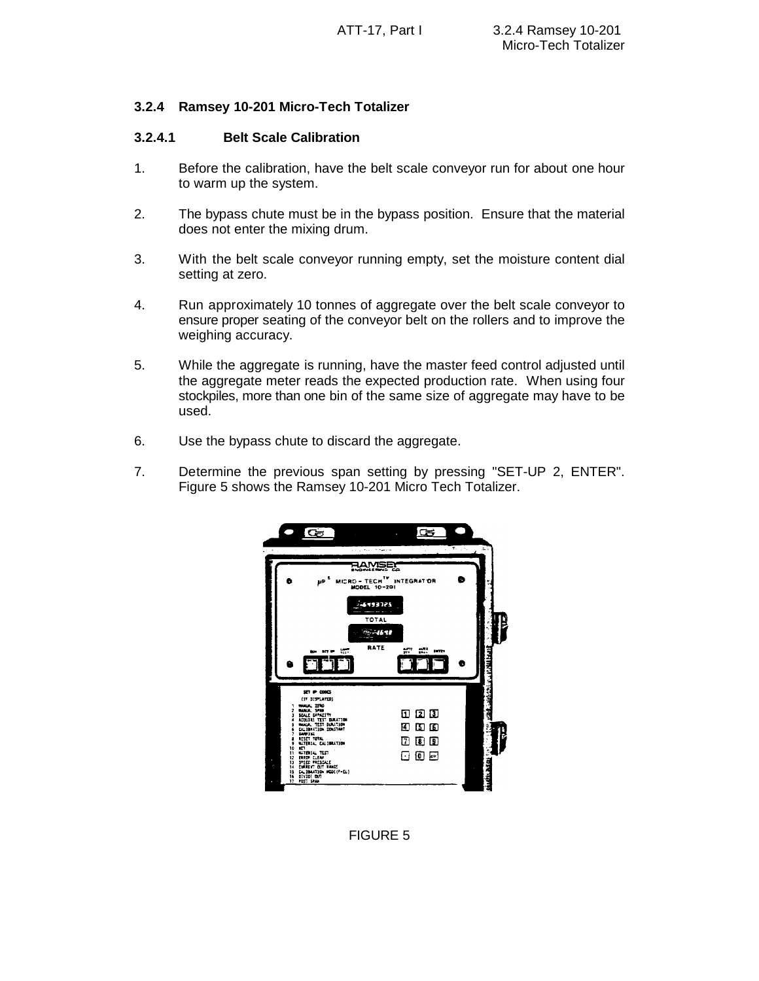# **3.2.4 Ramsey 10-201 Micro-Tech Totalizer**

#### **3.2.4.1 Belt Scale Calibration**

- 1. Before the calibration, have the belt scale conveyor run for about one hour to warm up the system.
- 2. The bypass chute must be in the bypass position. Ensure that the material does not enter the mixing drum.
- 3. With the belt scale conveyor running empty, set the moisture content dial setting at zero.
- 4. Run approximately 10 tonnes of aggregate over the belt scale conveyor to ensure proper seating of the conveyor belt on the rollers and to improve the weighing accuracy.
- 5. While the aggregate is running, have the master feed control adjusted until the aggregate meter reads the expected production rate. When using four stockpiles, more than one bin of the same size of aggregate may have to be used.
- 6. Use the bypass chute to discard the aggregate.
- 7. Determine the previous span setting by pressing "SET-UP 2, ENTER". Figure 5 shows the Ramsey 10-201 Micro Tech Totalizer.



# FIGURE 5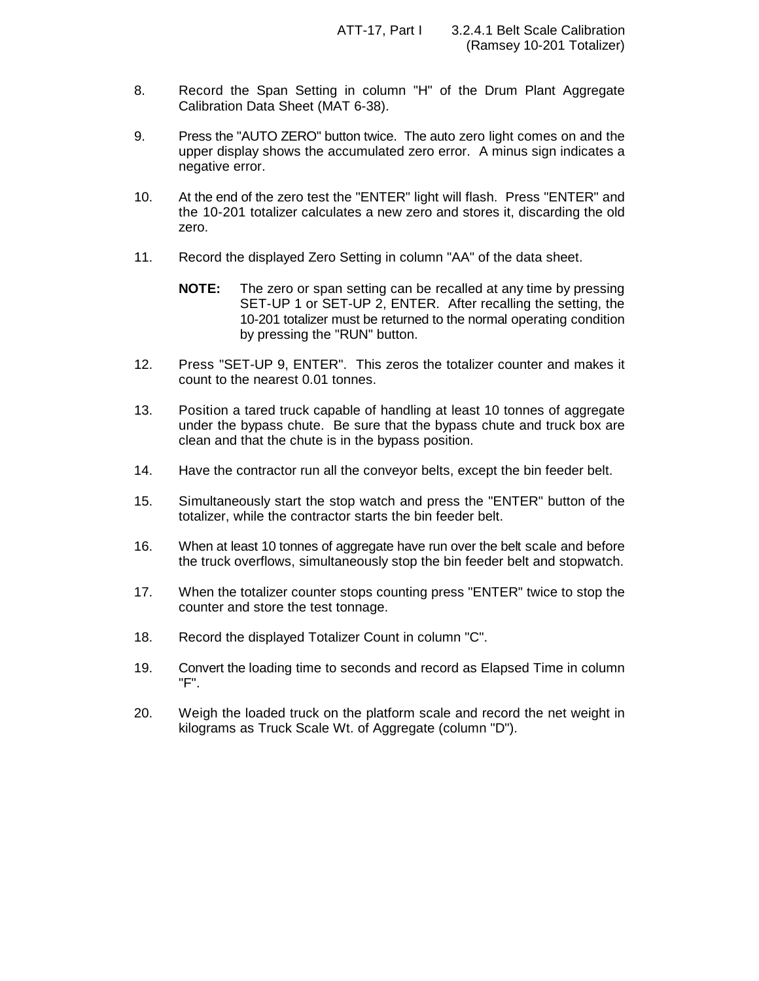- 8. Record the Span Setting in column "H" of the Drum Plant Aggregate Calibration Data Sheet (MAT 6-38).
- 9. Press the "AUTO ZERO" button twice. The auto zero light comes on and the upper display shows the accumulated zero error. A minus sign indicates a negative error.
- 10. At the end of the zero test the "ENTER" light will flash. Press "ENTER" and the 10-201 totalizer calculates a new zero and stores it, discarding the old zero.
- 11. Record the displayed Zero Setting in column "AA" of the data sheet.
	- **NOTE:** The zero or span setting can be recalled at any time by pressing SET-UP 1 or SET-UP 2, ENTER. After recalling the setting, the 10-201 totalizer must be returned to the normal operating condition by pressing the "RUN" button.
- 12. Press "SET-UP 9, ENTER". This zeros the totalizer counter and makes it count to the nearest 0.01 tonnes.
- 13. Position a tared truck capable of handling at least 10 tonnes of aggregate under the bypass chute. Be sure that the bypass chute and truck box are clean and that the chute is in the bypass position.
- 14. Have the contractor run all the conveyor belts, except the bin feeder belt.
- 15. Simultaneously start the stop watch and press the "ENTER" button of the totalizer, while the contractor starts the bin feeder belt.
- 16. When at least 10 tonnes of aggregate have run over the belt scale and before the truck overflows, simultaneously stop the bin feeder belt and stopwatch.
- 17. When the totalizer counter stops counting press "ENTER" twice to stop the counter and store the test tonnage.
- 18. Record the displayed Totalizer Count in column "C".
- 19. Convert the loading time to seconds and record as Elapsed Time in column "F".
- 20. Weigh the loaded truck on the platform scale and record the net weight in kilograms as Truck Scale Wt. of Aggregate (column "D").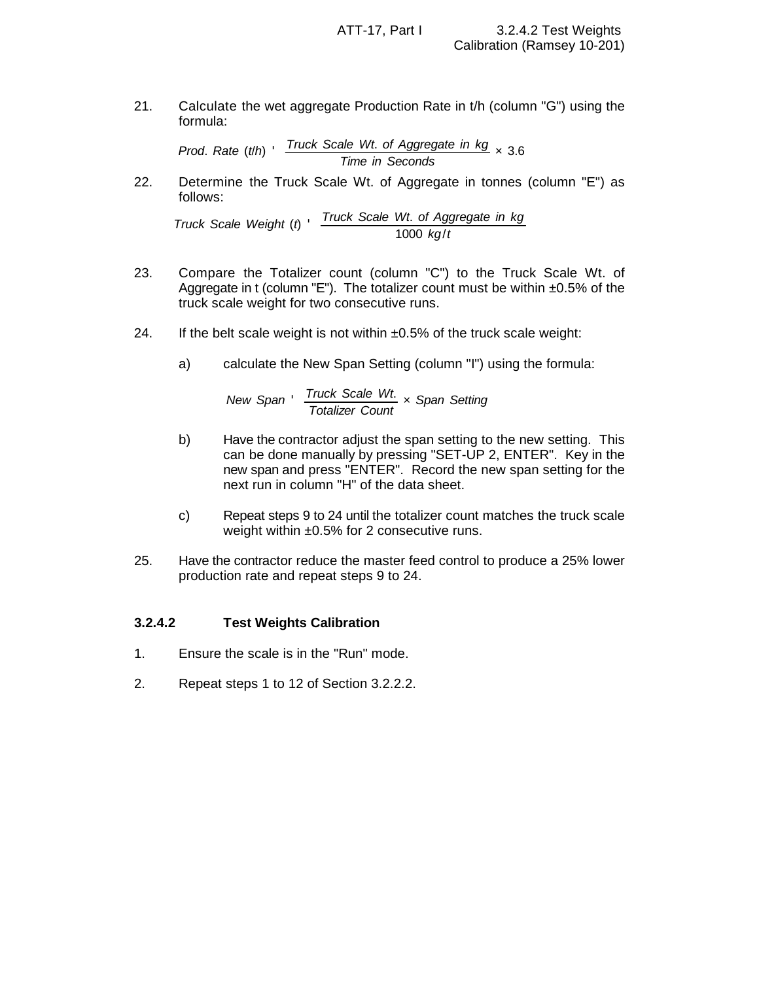21. Calculate the wet aggregate Production Rate in t/h (column "G") using the formula:

*Prod*. *Rate* (*t*/*h*) ' *Truck Scale Wt*. *of Aggregate in kg Time in Seconds* × 3.6

22. Determine the Truck Scale Wt. of Aggregate in tonnes (column "E") as follows:

*Truck Scale Weight* (*t*) ' *Truck Scale Wt*. *of Aggregate in kg* 1000 *kg*/*t*

- 23. Compare the Totalizer count (column "C") to the Truck Scale Wt. of Aggregate in t (column "E"). The totalizer count must be within  $\pm 0.5\%$  of the truck scale weight for two consecutive runs.
- 24. If the belt scale weight is not within  $\pm 0.5\%$  of the truck scale weight:
	- a) calculate the New Span Setting (column "I") using the formula:

New Span 
$$
\frac{Truck \text{ Scale } Wt}{Totalizer \text{ Count}} \times \text{Span Setting}
$$

- b) Have the contractor adjust the span setting to the new setting. This can be done manually by pressing "SET-UP 2, ENTER". Key in the new span and press "ENTER". Record the new span setting for the next run in column "H" of the data sheet.
- c) Repeat steps 9 to 24 until the totalizer count matches the truck scale weight within ±0.5% for 2 consecutive runs.
- 25. Have the contractor reduce the master feed control to produce a 25% lower production rate and repeat steps 9 to 24.

#### **3.2.4.2 Test Weights Calibration**

- 1. Ensure the scale is in the "Run" mode.
- 2. Repeat steps 1 to 12 of Section 3.2.2.2.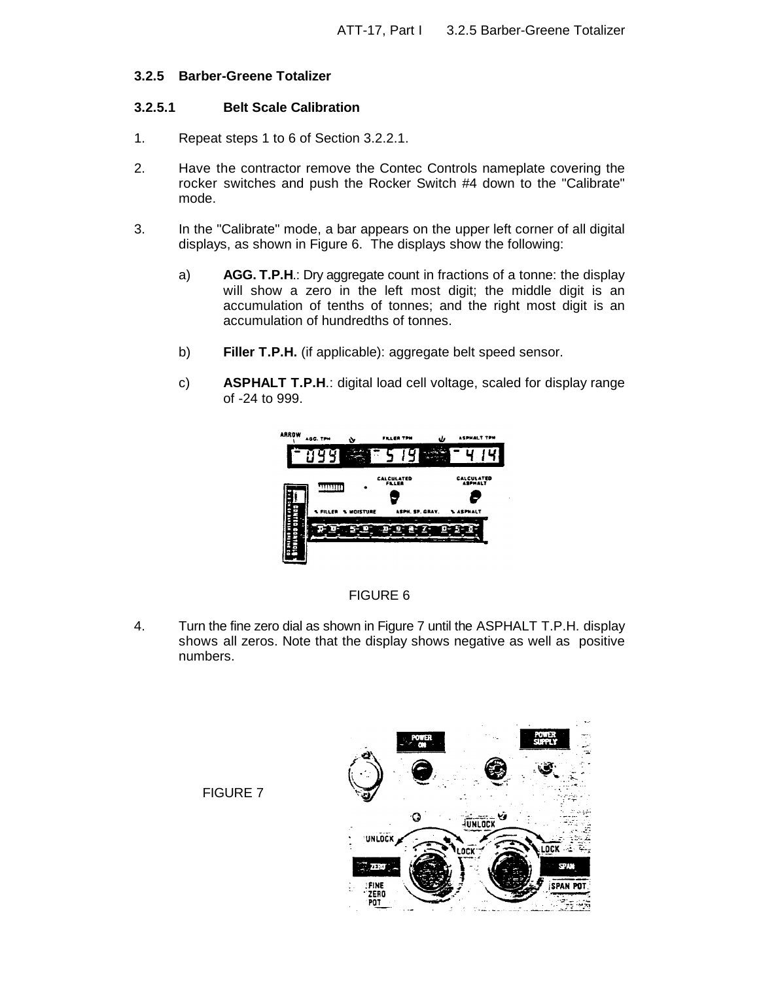#### **3.2.5 Barber-Greene Totalizer**

### **3.2.5.1 Belt Scale Calibration**

- 1. Repeat steps 1 to 6 of Section 3.2.2.1.
- 2. Have the contractor remove the Contec Controls nameplate covering the rocker switches and push the Rocker Switch #4 down to the "Calibrate" mode.
- 3. In the "Calibrate" mode, a bar appears on the upper left corner of all digital displays, as shown in Figure 6. The displays show the following:
	- a) **AGG. T.P.H**.: Dry aggregate count in fractions of a tonne: the display will show a zero in the left most digit; the middle digit is an accumulation of tenths of tonnes; and the right most digit is an accumulation of hundredths of tonnes.
	- b) **Filler T.P.H.** (if applicable): aggregate belt speed sensor.
	- c) **ASPHALT T.P.H**.: digital load cell voltage, scaled for display range of -24 to 999.



# FIGURE 6

4. Turn the fine zero dial as shown in Figure 7 until the ASPHALT T.P.H. display shows all zeros. Note that the display shows negative as well as positive numbers.



FIGURE 7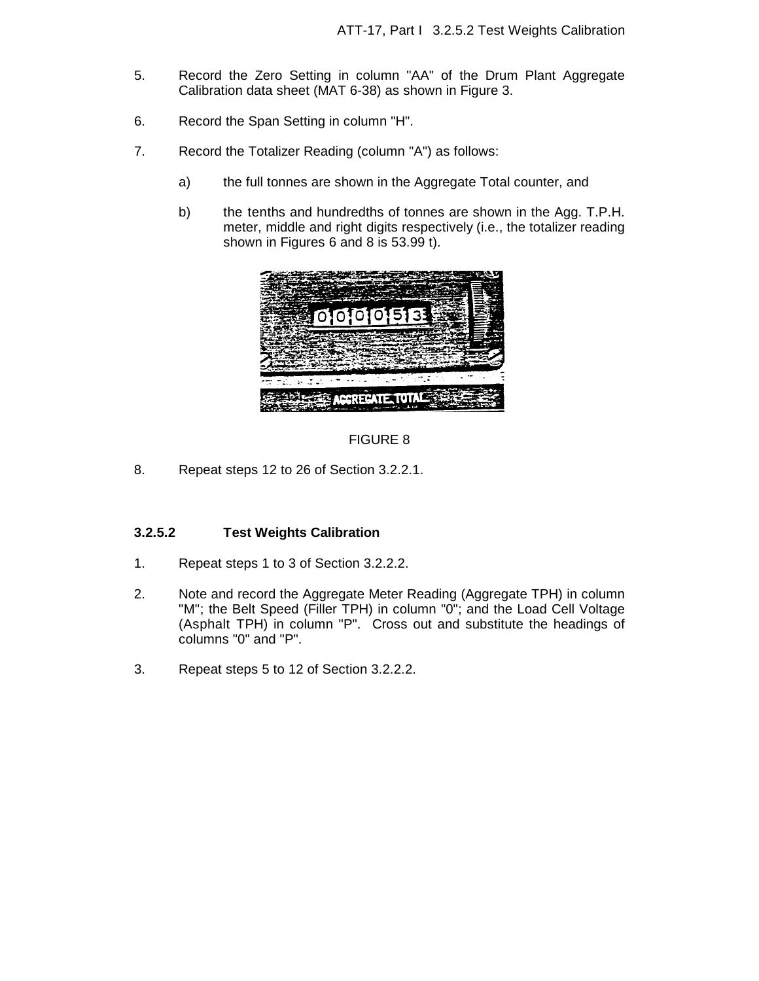- 5. Record the Zero Setting in column "AA" of the Drum Plant Aggregate Calibration data sheet (MAT 6-38) as shown in Figure 3.
- 6. Record the Span Setting in column "H".
- 7. Record the Totalizer Reading (column "A") as follows:
	- a) the full tonnes are shown in the Aggregate Total counter, and
	- b) the tenths and hundredths of tonnes are shown in the Agg. T.P.H. meter, middle and right digits respectively (i.e., the totalizer reading shown in Figures 6 and 8 is 53.99 t).





8. Repeat steps 12 to 26 of Section 3.2.2.1.

#### **3.2.5.2 Test Weights Calibration**

- 1. Repeat steps 1 to 3 of Section 3.2.2.2.
- 2. Note and record the Aggregate Meter Reading (Aggregate TPH) in column "M"; the Belt Speed (Filler TPH) in column "0"; and the Load Cell Voltage (Asphalt TPH) in column "P". Cross out and substitute the headings of columns "0" and "P".
- 3. Repeat steps 5 to 12 of Section 3.2.2.2.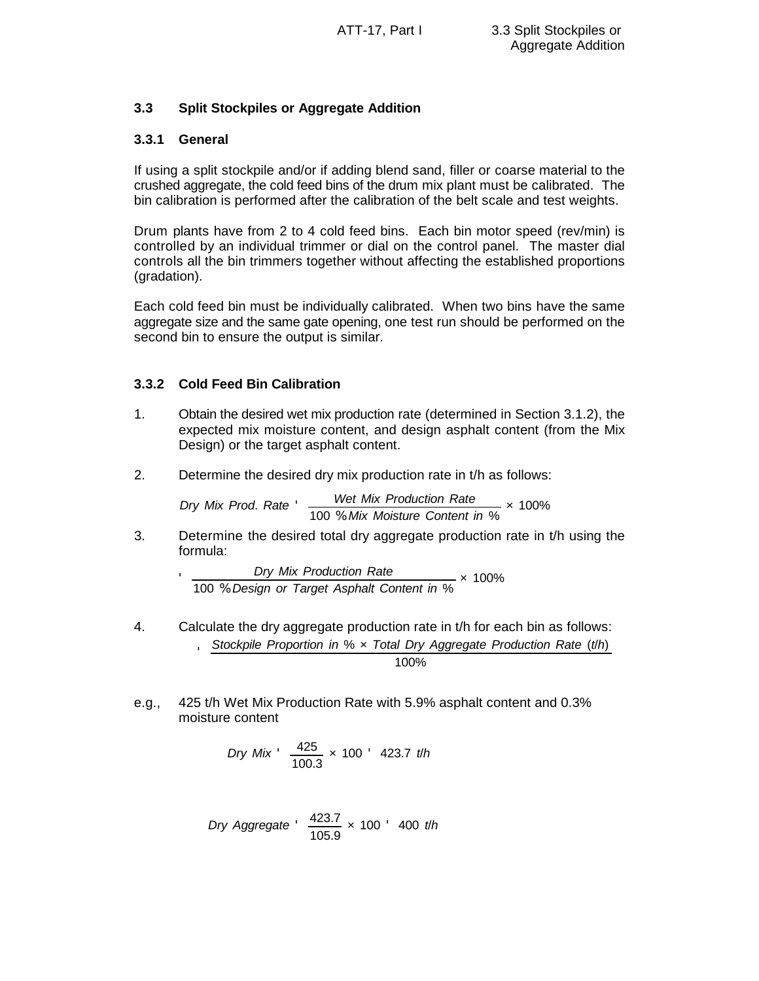# **3.3 Split Stockpiles or Aggregate Addition**

# **3.3.1 General**

'

If using a split stockpile and/or if adding blend sand, filler or coarse material to the crushed aggregate, the cold feed bins of the drum mix plant must be calibrated. The bin calibration is performed after the calibration of the belt scale and test weights.

Drum plants have from 2 to 4 cold feed bins. Each bin motor speed (rev/min) is controlled by an individual trimmer or dial on the control panel. The master dial controls all the bin trimmers together without affecting the established proportions (gradation).

Each cold feed bin must be individually calibrated. When two bins have the same aggregate size and the same gate opening, one test run should be performed on the second bin to ensure the output is similar.

# **3.3.2 Cold Feed Bin Calibration**

- 1. Obtain the desired wet mix production rate (determined in Section 3.1.2), the expected mix moisture content, and design asphalt content (from the Mix Design) or the target asphalt content.
- 2. Determine the desired dry mix production rate in t/h as follows:

*Dry Mix Prod*. *Rate* ' *Wet Mix Production Rate* 100 % *Mix Moisture Content in* % × 100%

3. Determine the desired total dry aggregate production rate in t/h using the formula:

> *Dry Mix Production Rate* 100 % *Design or Target Asphalt Content in* % × 100%

4. Calculate the dry aggregate production rate in t/h for each bin as follows:

$$
5\,\frac{\text{Stockpile Proportion in }\% \times \text{Total Dry Aggregate Production Rate (t/h)}}{100\%}
$$

e.g., 425 t/h Wet Mix Production Rate with 5.9% asphalt content and 0.3% moisture content

$$
Dry\ Mix \frac{425}{100.3} \times 100 \frac{423.7 \text{ th}}{}
$$

*Dry Aggregate* 
$$
\frac{423.7}{105.9} \times 100
$$
 *'* 400 *th*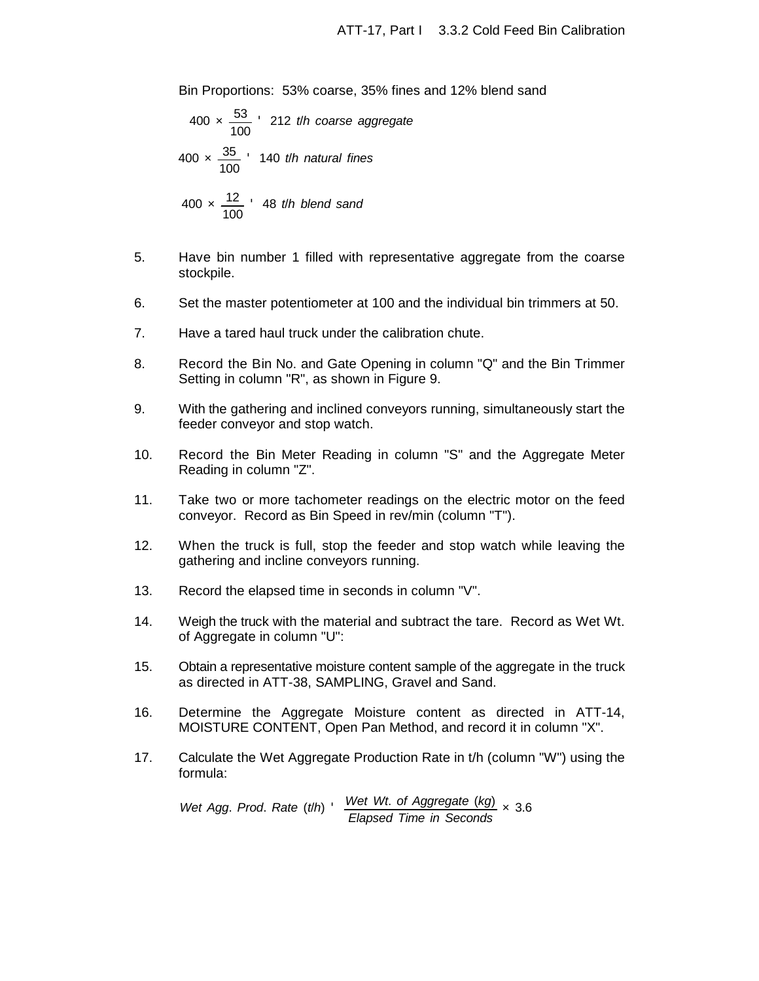Bin Proportions: 53% coarse, 35% fines and 12% blend sand

$$
400 \times \frac{53}{100}
$$
212 *th* coarse aggregate  
400 ×  $\frac{35}{100}$  140 *th* natural fines  
400 ×  $\frac{12}{100}$  48 *th* blend sand

- 5. Have bin number 1 filled with representative aggregate from the coarse stockpile.
- 6. Set the master potentiometer at 100 and the individual bin trimmers at 50.
- 7. Have a tared haul truck under the calibration chute.
- 8. Record the Bin No. and Gate Opening in column "Q" and the Bin Trimmer Setting in column "R", as shown in Figure 9.
- 9. With the gathering and inclined conveyors running, simultaneously start the feeder conveyor and stop watch.
- 10. Record the Bin Meter Reading in column "S" and the Aggregate Meter Reading in column "Z".
- 11. Take two or more tachometer readings on the electric motor on the feed conveyor. Record as Bin Speed in rev/min (column "T").
- 12. When the truck is full, stop the feeder and stop watch while leaving the gathering and incline conveyors running.
- 13. Record the elapsed time in seconds in column "V".
- 14. Weigh the truck with the material and subtract the tare. Record as Wet Wt. of Aggregate in column "U":
- 15. Obtain a representative moisture content sample of the aggregate in the truck as directed in ATT-38, SAMPLING, Gravel and Sand.
- 16. Determine the Aggregate Moisture content as directed in ATT-14, MOISTURE CONTENT, Open Pan Method, and record it in column "X".
- 17. Calculate the Wet Aggregate Production Rate in t/h (column "W") using the formula:

*Wet Agg*. *Prod*. *Rate* (*t*/*h*) ' *Wet Wt*. *of Aggregate* (*kg*) *Elapsed Time in Seconds* × 3.6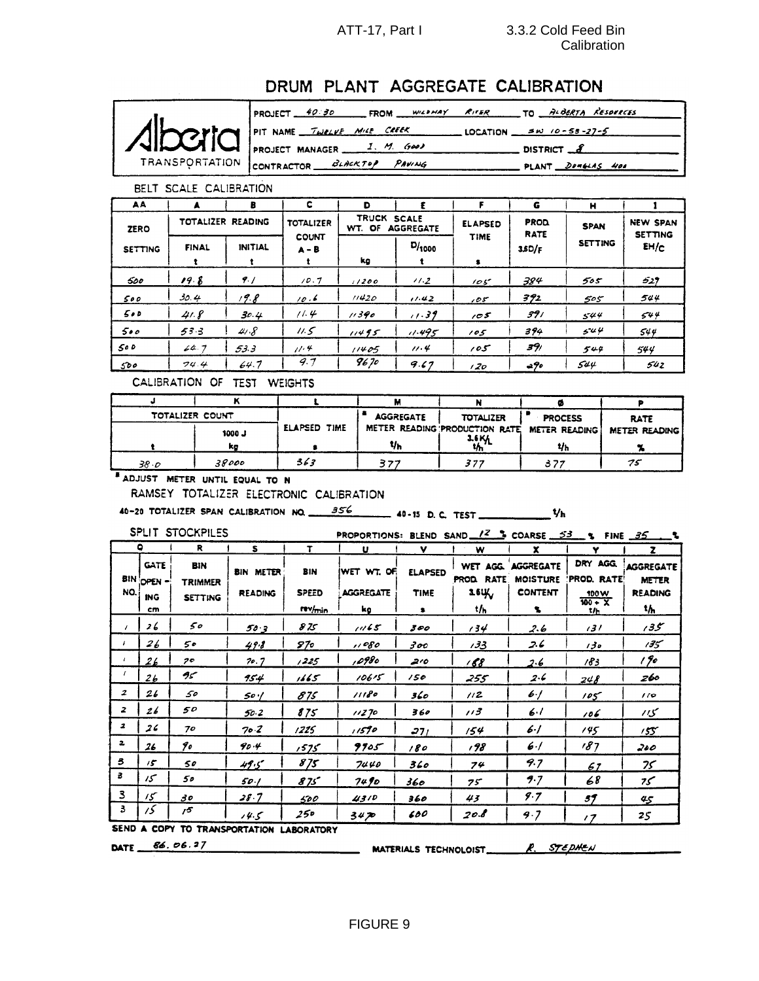### ATT-17, Part I 3.3.2 Cold Feed Bin **Calibration**

# DRUM PLANT AGGREGATE CALIBRATION



PROJECT 40.30 FROM WILLMAY RIVER TO ALBERTA RESOURCES PIT NAME  $\frac{7\mu\epsilon_L V}{2}$  MILE CREEK LOCATION  $\frac{5\mu}{10-55-27-5}$ PROJECT MANAGER 1. M. GOOD  $DISTRICT$ <sub>2</sub> CONTRACTOR BLACKTOP PAVING PLANT DOMELAS HOO

#### BELT SCALE CALIBRATION

| AA             |                   | в              | c                       | D                                                          |        | F              | G                          | н              |                                   |  |
|----------------|-------------------|----------------|-------------------------|------------------------------------------------------------|--------|----------------|----------------------------|----------------|-----------------------------------|--|
| <b>ZERO</b>    | TOTALIZER READING |                | <b>TOTALIZER</b>        | <b>TRUCK</b><br><b>SCALE</b><br>WT. OF<br><b>AGGREGATE</b> |        | <b>ELAPSED</b> | <b>PROD</b><br><b>RATE</b> | <b>SPAN</b>    | <b>NEW SPAN</b><br><b>SETTING</b> |  |
| <b>SETTING</b> | <b>FINAL</b>      | <b>INITIAL</b> | <b>COUNT</b><br>$A - B$ | kg                                                         | D/1000 | <b>TIME</b>    | 3.5D/F                     | <b>SETTING</b> | EH/c                              |  |
| 500            | 19.8              | 9.1            | 10.7                    | 11200                                                      | 11.2   | 105            | 384                        | 505            | 529                               |  |
| 500            | 30.4              | 19.8           | 10.6                    | 11420                                                      | 11.42  | سی ر           | 392                        | 505            | 544                               |  |
| 500            | 41.8              | 30.4           | 11.4                    | 11390                                                      | 11.39  | 105            | 391                        | 544            | 544                               |  |
| 500            | 53.3              | 41.8           | 11.5                    | 11495                                                      | 11.495 | 105            | 394                        | 544            | 544                               |  |
| 500            | 64.7              | 53.3           | 11.4                    | 11405                                                      | 11.4   | 105            | 391                        | 549            | 544                               |  |
| 500            | 74.4              | 64.7           | 9.7                     | 9670                                                       | 9.67   | 1,20           | -90                        | 544            | 542                               |  |

CALIBRATION OF TEST WEIGHTS

| TOTALIZER COUNT |               |              | <b>AGGREGATE</b> | <b>TOTALIZER</b>              | <b>PROCESS</b>       | <b>RATE</b>          |
|-----------------|---------------|--------------|------------------|-------------------------------|----------------------|----------------------|
|                 | <b>L</b> 0001 | ELAPSED TIME |                  | METER READING PRODUCTION RATE | <b>METER READING</b> | <b>METER READING</b> |
|                 | kg            |              | t/h              | $\frac{16}{4}$                | ٧h                   |                      |
| 38.0            | 38000         | 363          | 377              | 397                           | 377                  | 75                   |

**# ADJUST METER UNTIL EQUAL TO N** 

RAMSEY TOTALIZER ELECTRONIC CALIBRATION

SPLIT STOCKPILES

PROPORTIONS: BLEND SAND  $\ell^2$  & COARSE 53 & FINE 35

|                  |                    |                              |                                          |                     | FROFORTIONS BLEND SAND <u> IT T</u> COARSE 22 TIME |                |                        |                              |                        | ___                              |
|------------------|--------------------|------------------------------|------------------------------------------|---------------------|----------------------------------------------------|----------------|------------------------|------------------------------|------------------------|----------------------------------|
|                  | $\bullet$          | $\mathbf{R}$                 | s                                        | T.                  | u                                                  | <b>v</b>       | w                      | x.                           | Y                      | z.                               |
|                  | GATE<br>BIN OPEN - | <b>BIN</b><br><b>TRIMMER</b> | <b>BIN METER</b>                         | <b>BIN</b>          | IWET WT. OF                                        | <b>ELAPSED</b> | WET AGG.<br>PROD. RATE | AGGREGATE<br><b>MOISTURE</b> | DRY AGG.<br>PROD. RATE | <b>AGGREGATE</b><br><b>METER</b> |
| NO.              | <b>ING</b>         | <b>SETTING</b>               | <b>READING</b>                           | <b>SPEED</b>        | <b>AGGREGATE</b>                                   | <b>TIME</b>    | 26Щ                    | <b>CONTENT</b>               | 100W<br>$100 - X$      | <b>READING</b>                   |
|                  | cm                 |                              |                                          | rev/ <sub>min</sub> | kg                                                 | $\bullet$      | t/h                    | s.                           | t/h                    | tሐ                               |
|                  | 26                 | 50                           | 50.3                                     | 875                 | 1165                                               | 300            | 134                    | 2.6                          | 131                    | 35ء                              |
|                  | 26                 | 50                           | 49.8                                     | 57о                 | 1080                                               | 300            | 133                    | 2.6                          | 130                    | 135                              |
|                  | 26                 | 70                           | 70. J                                    | 1225                | 098ء,                                              | ە ج            | 168                    | 2.6                          | 183                    | 190                              |
|                  | 26                 | سمج                          | 95.4                                     | 1665                | 10615                                              | 150            | 255                    | 2.6                          | 248                    | 260                              |
| $\boldsymbol{z}$ | 26                 | 50                           | 50 ·/                                    | 875                 | 11180                                              | 360            | 112                    | $6 - 1$                      | 105                    | 10 <sup>o</sup>                  |
| $\overline{z}$   | 26                 | 50                           | 50 2                                     | 875                 | 11270                                              | 360            | 113                    | 6.1                          | 106                    | צון                              |
| $\boldsymbol{z}$ | 26                 | 70                           | 70.2                                     | 1225                | ı i59o                                             | 271            | 154                    | 6.]                          | 145                    | 155                              |
| 2                | 26                 | 90                           | 904                                      | 1575                | 9905                                               | 180            | 198                    | $6 - 1$                      | 187                    | 200                              |
| 3                | $15^\circ$         | 50                           | 49.5                                     | 875                 | 7440                                               | 360            | 74                     | 9.7                          | 61                     | 75                               |
| з                | سى                 | 50                           | 50/                                      | 875                 | 74 Io                                              | 360            | 75                     | 9.7                          | 68                     | سمح                              |
| 3                | $15^\circ$         | 30                           | 28.7                                     | 500                 | 4310                                               | 360            | 43                     | 9.7                          | 39                     | 45                               |
| 3                | 15                 | 15                           | 14.5                                     | 250                 | 3470                                               | 600            | 20.B                   | 9.7                          | $\prime$ 7             | 25                               |
|                  |                    |                              | SEND A COPY TO TRANSPORTATION LAROPATORY |                     |                                                    |                |                        |                              |                        |                                  |

TRANSPORTATION LABORATORY

DATE 86.06.27

MATERIALS TECHNOLOIST R. STEPHEN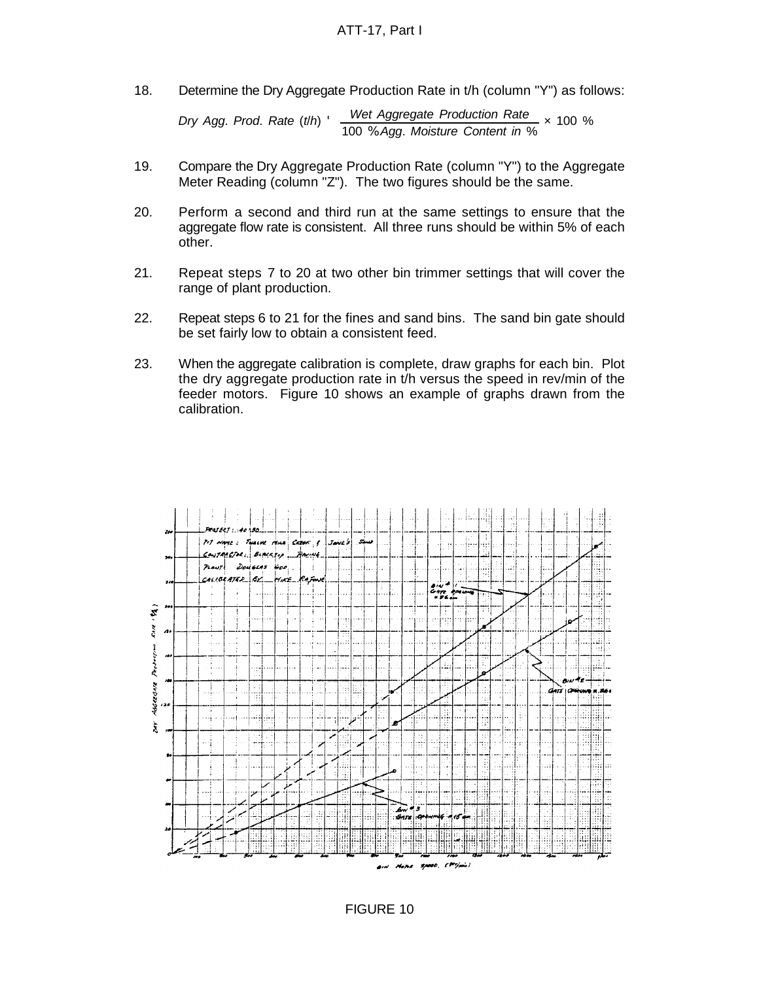18. Determine the Dry Aggregate Production Rate in t/h (column "Y") as follows:

*Dry Agg*. *Prod*. *Rate* (*t*/*h*) ' *Wet Aggregate Production Rate* 100 % *Agg*. *Moisture Content in* % × 100 %

- 19. Compare the Dry Aggregate Production Rate (column "Y") to the Aggregate Meter Reading (column "Z"). The two figures should be the same.
- 20. Perform a second and third run at the same settings to ensure that the aggregate flow rate is consistent. All three runs should be within 5% of each other.
- 21. Repeat steps 7 to 20 at two other bin trimmer settings that will cover the range of plant production.
- 22. Repeat steps 6 to 21 for the fines and sand bins. The sand bin gate should be set fairly low to obtain a consistent feed.
- 23. When the aggregate calibration is complete, draw graphs for each bin. Plot the dry aggregate production rate in t/h versus the speed in rev/min of the feeder motors. Figure 10 shows an example of graphs drawn from the calibration.



FIGURE 10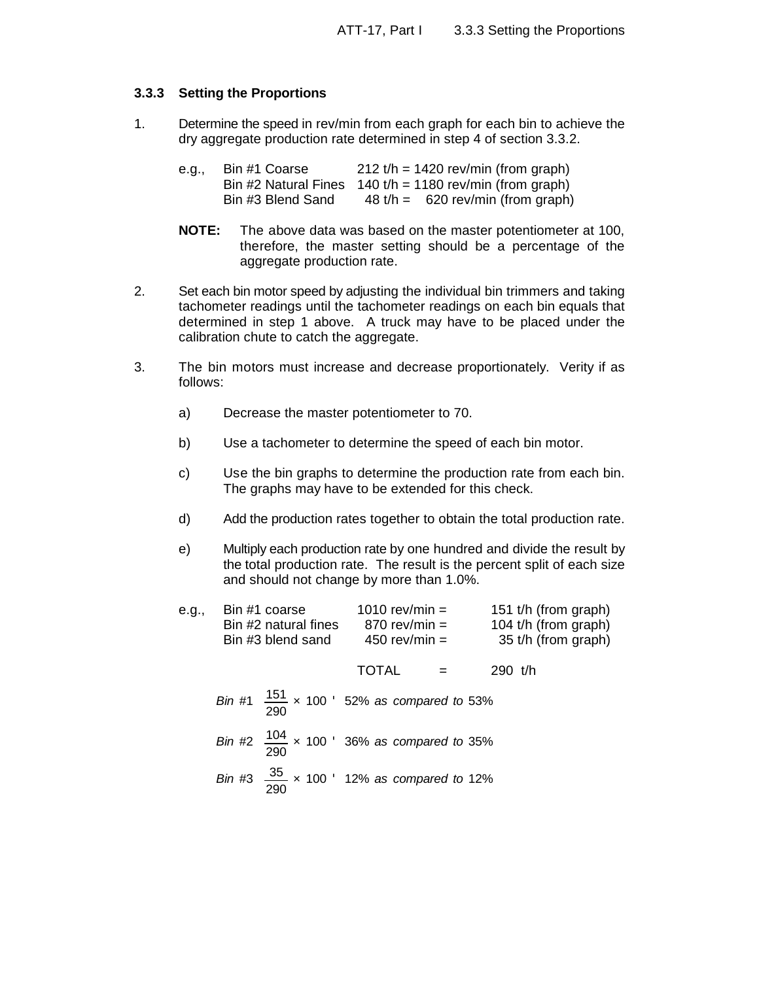# **3.3.3 Setting the Proportions**

1. Determine the speed in rev/min from each graph for each bin to achieve the dry aggregate production rate determined in step 4 of section 3.3.2.

| e.g., | Bin #1 Coarse     | $212 t/h = 1420$ rev/min (from graph)                      |
|-------|-------------------|------------------------------------------------------------|
|       |                   | Bin #2 Natural Fines $140 t/h = 1180$ rev/min (from graph) |
|       | Bin #3 Blend Sand | $48 t/h = 620 \text{ rev/min (from graph)}$                |

- **NOTE:** The above data was based on the master potentiometer at 100, therefore, the master setting should be a percentage of the aggregate production rate.
- 2. Set each bin motor speed by adjusting the individual bin trimmers and taking tachometer readings until the tachometer readings on each bin equals that determined in step 1 above. A truck may have to be placed under the calibration chute to catch the aggregate.
- 3. The bin motors must increase and decrease proportionately. Verity if as follows:
	- a) Decrease the master potentiometer to 70.
	- b) Use a tachometer to determine the speed of each bin motor.
	- c) Use the bin graphs to determine the production rate from each bin. The graphs may have to be extended for this check.
	- d) Add the production rates together to obtain the total production rate.
	- e) Multiply each production rate by one hundred and divide the result by the total production rate. The result is the percent split of each size and should not change by more than 1.0%.

| e.g., | Bin #1 coarse<br>Bin #2 natural fines<br>Bin #3 blend sand |              | 1010 rev/min $=$<br>$870$ rev/min =<br>450 rev/min $=$ |                                                         |           |  | 151 t/h (from graph)<br>104 t/h (from graph)<br>35 t/h (from graph) |
|-------|------------------------------------------------------------|--------------|--------------------------------------------------------|---------------------------------------------------------|-----------|--|---------------------------------------------------------------------|
|       |                                                            | <b>TOTAL</b> |                                                        | $\mathbf{r}$                                            | 290 $t/h$ |  |                                                                     |
|       |                                                            |              |                                                        | Bin #1 $\frac{151}{290}$ x 100 ' 52% as compared to 53% |           |  |                                                                     |
|       |                                                            |              |                                                        | Bin #2 $\frac{104}{290}$ x 100 ' 36% as compared to 35% |           |  |                                                                     |
|       |                                                            |              |                                                        | Bin #3 $\frac{35}{290}$ × 100 ' 12% as compared to 12%  |           |  |                                                                     |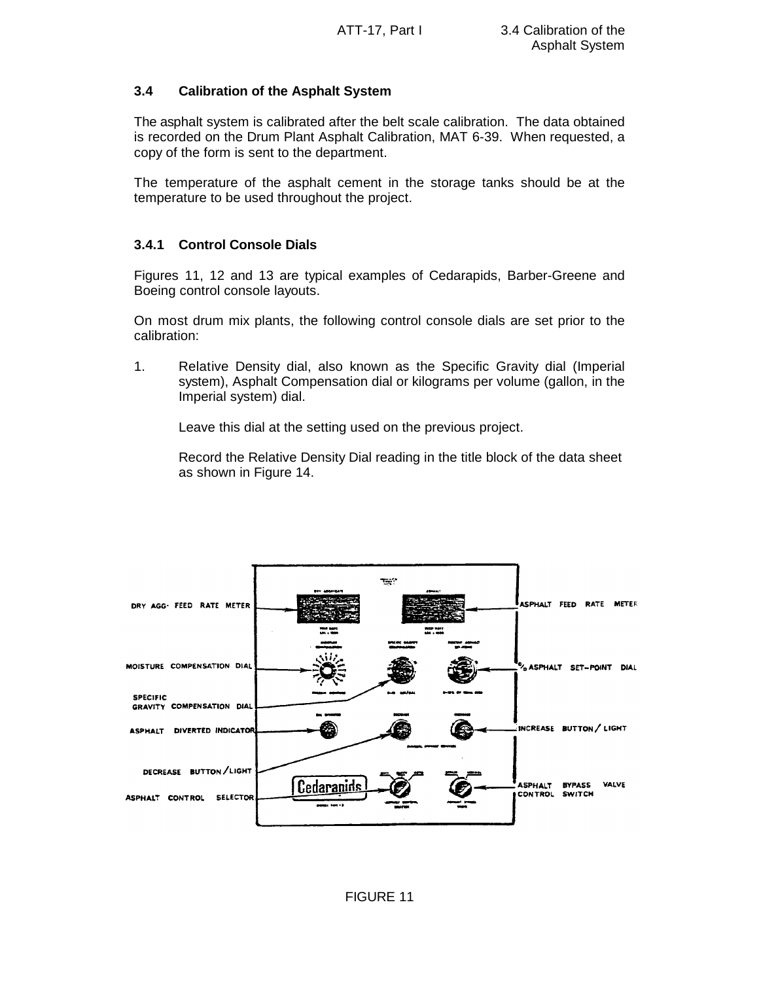# **3.4 Calibration of the Asphalt System**

The asphalt system is calibrated after the belt scale calibration. The data obtained is recorded on the Drum Plant Asphalt Calibration, MAT 6-39. When requested, a copy of the form is sent to the department.

The temperature of the asphalt cement in the storage tanks should be at the temperature to be used throughout the project.

# **3.4.1 Control Console Dials**

Figures 11, 12 and 13 are typical examples of Cedarapids, Barber-Greene and Boeing control console layouts.

On most drum mix plants, the following control console dials are set prior to the calibration:

1. Relative Density dial, also known as the Specific Gravity dial (Imperial system), Asphalt Compensation dial or kilograms per volume (gallon, in the Imperial system) dial.

Leave this dial at the setting used on the previous project.

Record the Relative Density Dial reading in the title block of the data sheet as shown in Figure 14.

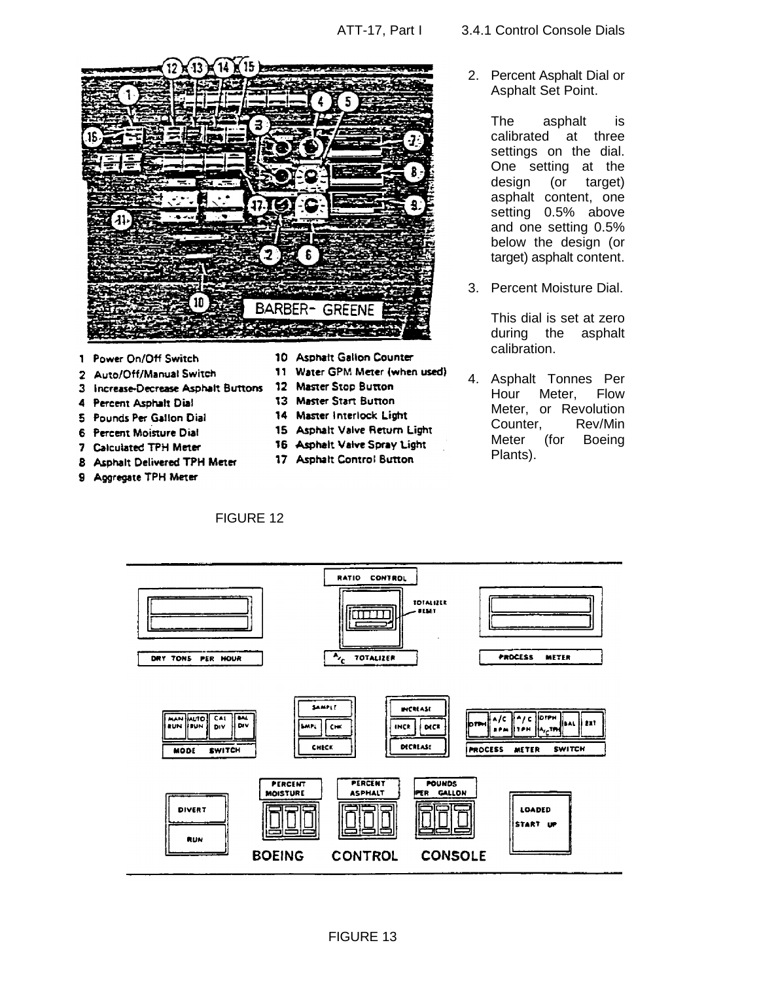

- Power On/Off Switch  $\mathbf{1}$
- Auto/Off/Manual Switch  $\overline{2}$
- 3 Increase-Decrease Asphalt Buttons 12
- 4 Percent Asphalt Dial
- 5 Pounds Per Gallon Dial
- 6 Percent Moisture Dial
- 7 Calculated TPH Meter
- 8 Asphalt Delivered TPH Meter
- 9 Aggregate TPH Meter
- 10 Asphalt Gallon Counter
- 11 Water GPM Meter (when used)
- **Master Stop Button**
- 13 Master Start Button
- 14 Master Interlock Light
- 15 Asphalt Valve Return Light
- 16 Asphalt Valve Spray Light
- 17 Asphalt Control Button



2. Percent Asphalt Dial or Asphalt Set Point.

> The asphalt is calibrated at three settings on the dial. One setting at the design (or target) asphalt content, one setting 0.5% above and one setting 0.5% below the design (or target) asphalt content.

3. Percent Moisture Dial.

This dial is set at zero during the asphalt calibration.

4. Asphalt Tonnes Per Hour Meter, Flow Meter, or Revolution Counter, Rev/Min Meter (for Boeing Plants).

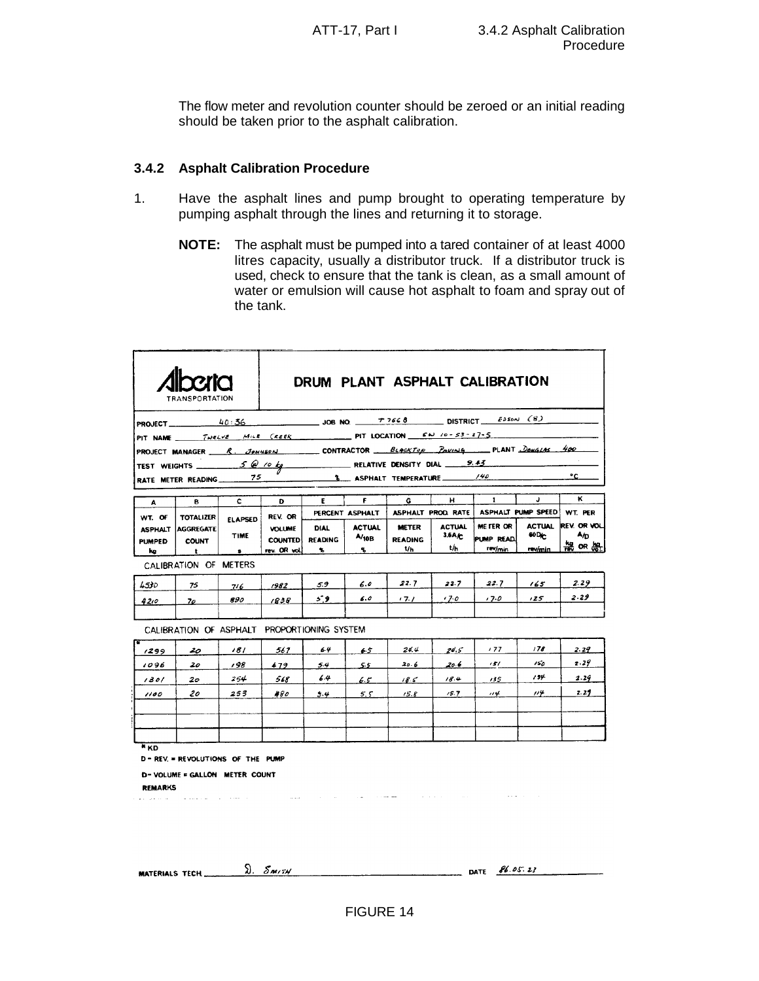The flow meter and revolution counter should be zeroed or an initial reading should be taken prior to the asphalt calibration.

### **3.4.2 Asphalt Calibration Procedure**

- 1. Have the asphalt lines and pump brought to operating temperature by pumping asphalt through the lines and returning it to storage.
	- **NOTE:** The asphalt must be pumped into a tared container of at least 4000 litres capacity, usually a distributor truck. If a distributor truck is used, check to ensure that the tank is clean, as a small amount of water or emulsion will cause hot asphalt to foam and spray out of the tank.

|                                 | TRANSPORTATION                                                          |                               |                                 |                               |                        | DRUM PLANT ASPHALT CALIBRATION |                         |                          |                                                  |                            |
|---------------------------------|-------------------------------------------------------------------------|-------------------------------|---------------------------------|-------------------------------|------------------------|--------------------------------|-------------------------|--------------------------|--------------------------------------------------|----------------------------|
|                                 | <b>PROJECT</b> 20:36 40:36 JOB NO. 77668 DISTRICT $\frac{EDS}{N}$ (8)   |                               |                                 |                               |                        |                                |                         |                          |                                                  |                            |
|                                 | PIT NAME TWELVE MILE CREEK PIT LOCATION EN 10-53-27-5                   |                               |                                 |                               |                        |                                |                         |                          |                                                  |                            |
|                                 | PROJECT MANAGER R. JENNEON CONTRACTOR BLACKTOP POWING PLANT DONGLAS 400 |                               |                                 |                               |                        |                                |                         |                          |                                                  |                            |
|                                 | TEST WEIGHTS $S \otimes 10 kg$ RELATIVE DENSITY DIAL 9.43               |                               |                                 |                               |                        |                                |                         |                          |                                                  |                            |
|                                 | RATE METER READING 75                                                   |                               |                                 |                               |                        | 8 ASPHALT TEMPERATURE /40      |                         |                          |                                                  | ۰c                         |
| A                               | в                                                                       | $\mathbf{c}$                  | D                               | E.                            | F.                     | G                              | н                       | 1                        | J.                                               | ĸ                          |
| WT. OF                          | <b>TOTALIZER</b>                                                        |                               | REV. OR                         |                               | PERCENT ASPHALT        |                                |                         |                          | ASPHALT PROD RATE   ASPHALT PUMP SPEED   WT. PER |                            |
| <b>ASPHALT</b><br><b>PUMPED</b> | <b>AGGREGATE</b><br><b>COUNT</b>                                        | <b>ELAPSED</b><br><b>TIME</b> | <b>VOLUME</b><br><b>COUNTED</b> | <b>DIAL</b><br><b>READING</b> | <b>ACTUAL</b><br>A/10B | <b>METER</b><br><b>READING</b> | <b>ACTUAL</b><br>3.6A/c | ME FER OR<br>ipump readi | <b>ACTUAL</b><br>60D <sub>C</sub>                | <b>REV. OR VOL.</b><br>A/D |
| kg                              | $\mathbf{t}$                                                            | $\bullet$                     | rev. OR vol.                    | ъ.                            | ч.                     | t/h                            | t/h                     | rev/min                  | rev/min                                          | 端ᅇᇥ                        |
|                                 | CALIBRATION OF METERS                                                   |                               |                                 |                               |                        |                                |                         |                          |                                                  |                            |
| 4530                            | 75                                                                      | 716                           | 1982                            | 5.9                           | 6.0                    | 22.7                           | 22.7                    | 22.7                     | 165.                                             | 2.29                       |
| 42,0                            | 70                                                                      | 890                           | 1838                            | 59.                           | 6.0                    | 17.1                           | $170 -$                 | 17.0                     | 125                                              | 2.29                       |
|                                 | CALIBRATION OF ASPHALT PROPORTIONING SYSTEM                             |                               |                                 |                               |                        |                                |                         |                          |                                                  |                            |
| 1299                            | 20                                                                      | 181                           | 567                             | 6.4                           | 65                     | 24.4                           | 24.5                    | 177                      | 178                                              | 2.29                       |
| 1096                            | 20                                                                      | 198                           | 479                             | 5.4                           | 55                     | 20.6                           | 20.6                    | 151                      | 150                                              | 2.29                       |
| 1301                            | 20 <sub>o</sub>                                                         | 254                           | 568                             | 64                            | $6.5^{\circ}$          | 18.5                           | 18.4                    | 135                      | 154                                              | 2.29                       |
| 1100                            | 20                                                                      | 253                           | 480                             | 5.4                           | 5.5                    | 15.8                           | 15.7                    | 114                      | 114                                              | 2.27                       |
|                                 |                                                                         |                               |                                 |                               |                        |                                |                         |                          |                                                  |                            |
| * KD                            |                                                                         |                               |                                 |                               |                        |                                |                         |                          |                                                  |                            |
|                                 | D - REV. = REVOLUTIONS OF THE PUMP                                      |                               |                                 |                               |                        |                                |                         |                          |                                                  |                            |

| MATERIALS TECH | ົນ. | ונדואת | DATE | 86.05.23 |
|----------------|-----|--------|------|----------|
|                |     |        |      |          |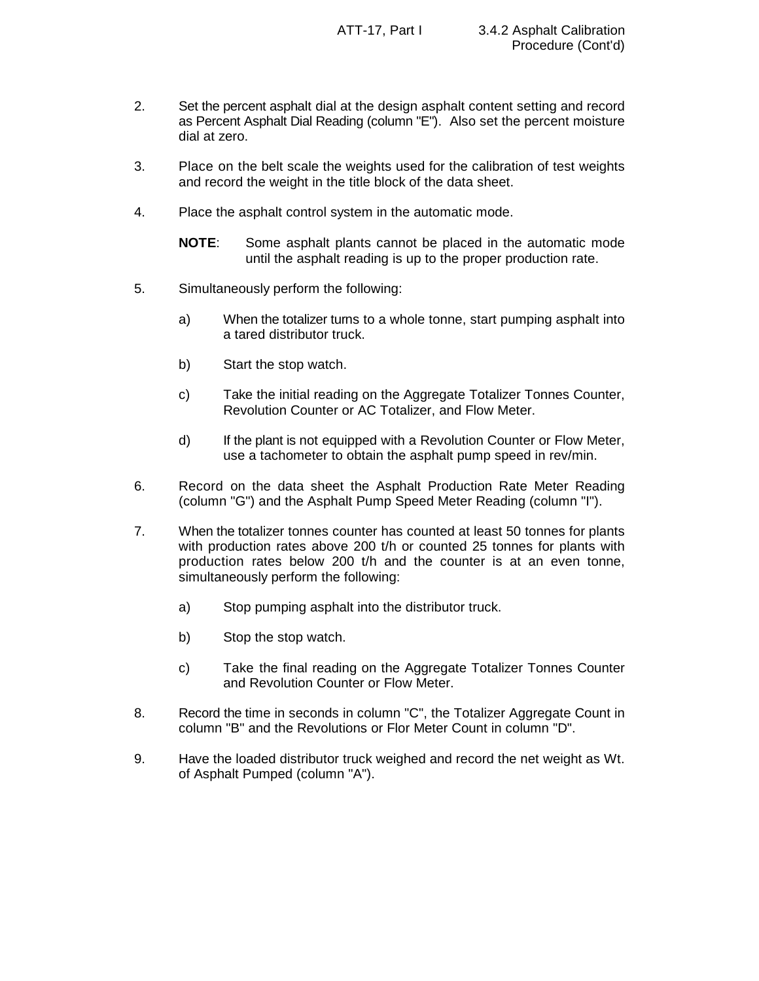- 2. Set the percent asphalt dial at the design asphalt content setting and record as Percent Asphalt Dial Reading (column "E"). Also set the percent moisture dial at zero.
- 3. Place on the belt scale the weights used for the calibration of test weights and record the weight in the title block of the data sheet.
- 4. Place the asphalt control system in the automatic mode.
	- **NOTE**: Some asphalt plants cannot be placed in the automatic mode until the asphalt reading is up to the proper production rate.
- 5. Simultaneously perform the following:
	- a) When the totalizer turns to a whole tonne, start pumping asphalt into a tared distributor truck.
	- b) Start the stop watch.
	- c) Take the initial reading on the Aggregate Totalizer Tonnes Counter, Revolution Counter or AC Totalizer, and Flow Meter.
	- d) If the plant is not equipped with a Revolution Counter or Flow Meter, use a tachometer to obtain the asphalt pump speed in rev/min.
- 6. Record on the data sheet the Asphalt Production Rate Meter Reading (column "G") and the Asphalt Pump Speed Meter Reading (column "I").
- 7. When the totalizer tonnes counter has counted at least 50 tonnes for plants with production rates above 200 t/h or counted 25 tonnes for plants with production rates below 200 t/h and the counter is at an even tonne, simultaneously perform the following:
	- a) Stop pumping asphalt into the distributor truck.
	- b) Stop the stop watch.
	- c) Take the final reading on the Aggregate Totalizer Tonnes Counter and Revolution Counter or Flow Meter.
- 8. Record the time in seconds in column "C", the Totalizer Aggregate Count in column "B" and the Revolutions or Flor Meter Count in column "D".
- 9. Have the loaded distributor truck weighed and record the net weight as Wt. of Asphalt Pumped (column "A").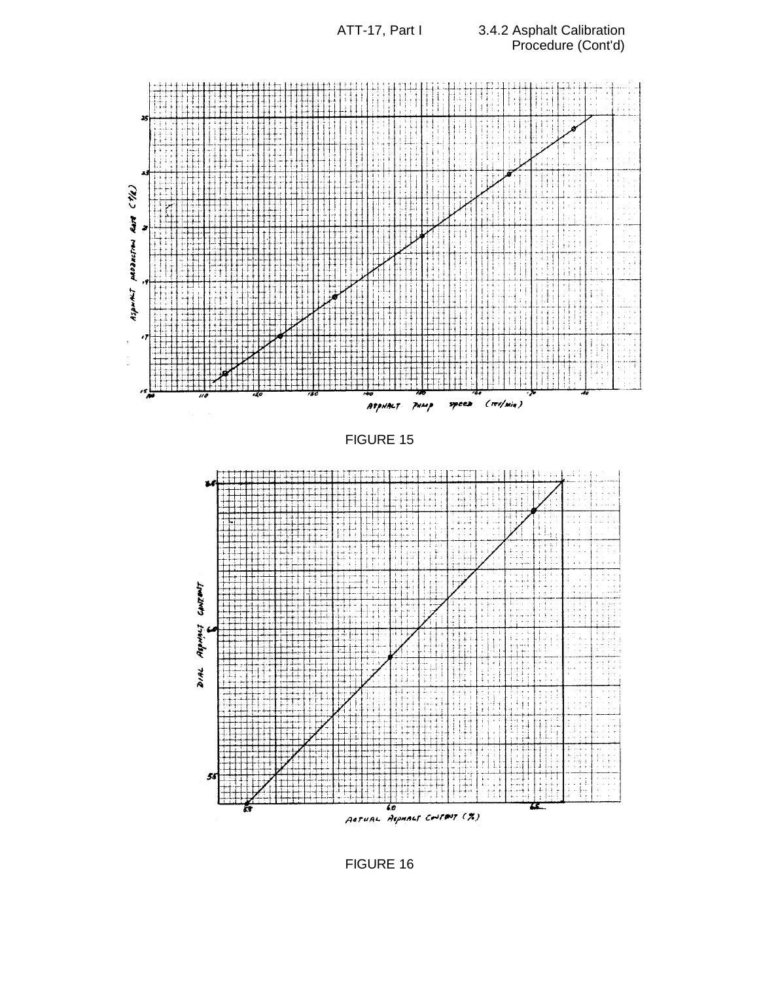

FIGURE 16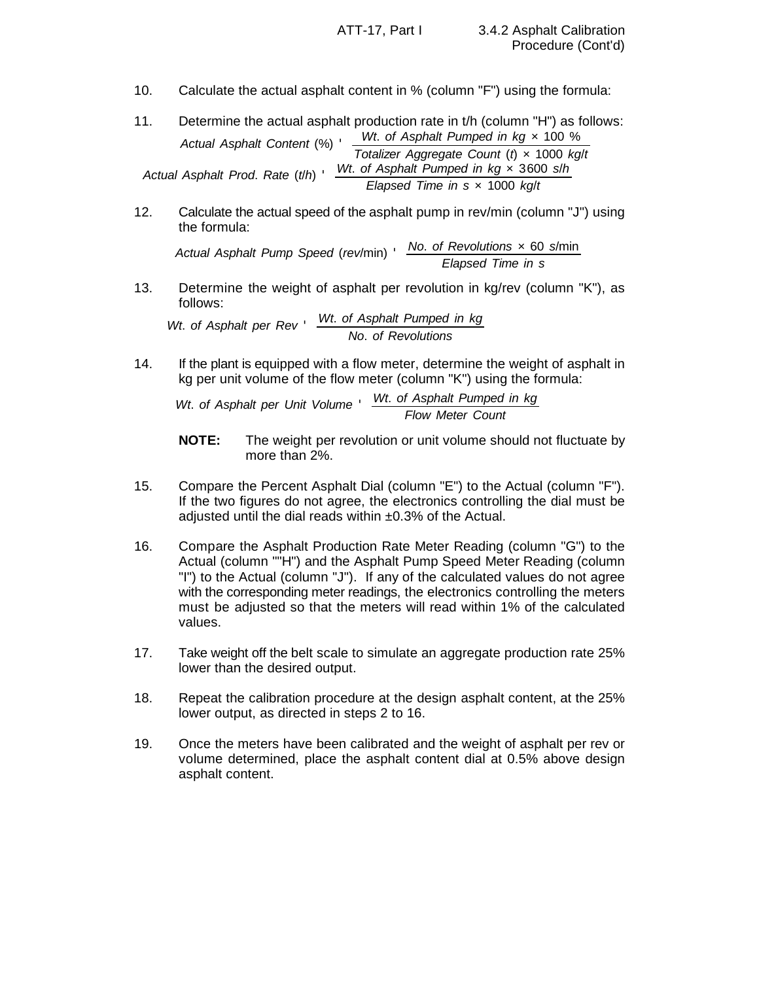- 10. Calculate the actual asphalt content in % (column "F") using the formula:
- *Actual Asphalt Content* (%) ' *Wt*. *of Asphalt Pumped in kg* × 100 % *Totalizer Aggregate Count* (*t*) × 1000 *kg*/*t Actual Asphalt Prod*. *Rate* (*t*/*h*) ' *Wt*. *of Asphalt Pumped in kg* × 3600 *s*/*h Elapsed Time in s* × 1000 *kg*/*t* 11. Determine the actual asphalt production rate in t/h (column "H") as follows:
- 12. Calculate the actual speed of the asphalt pump in rev/min (column "J") using the formula:

*Actual Asphalt Pump Speed* (*rev*/min) ' *No*. *of Revolutions* × 60 *s*/min *Elapsed Time in s*

13. Determine the weight of asphalt per revolution in kg/rev (column "K"), as follows:

*Wt*. *of Asphalt per Rev* ' *Wt*. *of Asphalt Pumped in kg No*. *of Revolutions*

14. If the plant is equipped with a flow meter, determine the weight of asphalt in kg per unit volume of the flow meter (column "K") using the formula:

*Wt*. *of Asphalt per Unit Volume* ' *Wt*. *of Asphalt Pumped in kg Flow Meter Count*

- **NOTE:** The weight per revolution or unit volume should not fluctuate by more than 2%.
- 15. Compare the Percent Asphalt Dial (column "E") to the Actual (column "F"). If the two figures do not agree, the electronics controlling the dial must be adjusted until the dial reads within  $\pm 0.3\%$  of the Actual.
- 16. Compare the Asphalt Production Rate Meter Reading (column "G") to the Actual (column ""H") and the Asphalt Pump Speed Meter Reading (column "I") to the Actual (column "J"). If any of the calculated values do not agree with the corresponding meter readings, the electronics controlling the meters must be adjusted so that the meters will read within 1% of the calculated values.
- 17. Take weight off the belt scale to simulate an aggregate production rate 25% lower than the desired output.
- 18. Repeat the calibration procedure at the design asphalt content, at the 25% lower output, as directed in steps 2 to 16.
- 19. Once the meters have been calibrated and the weight of asphalt per rev or volume determined, place the asphalt content dial at 0.5% above design asphalt content.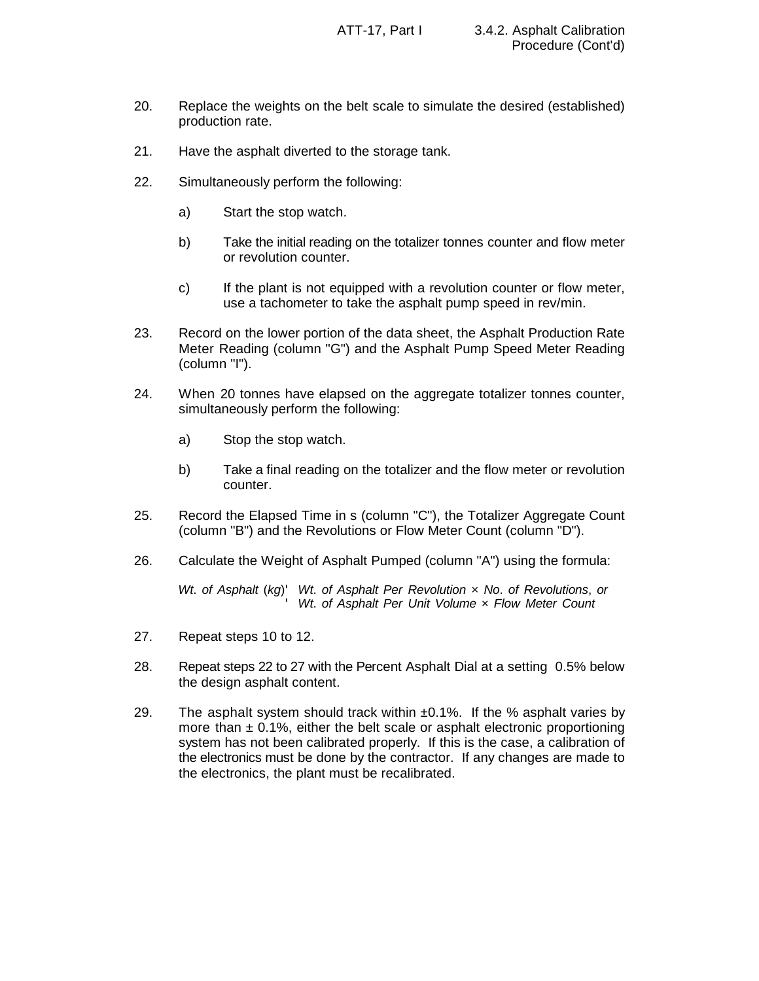- 20. Replace the weights on the belt scale to simulate the desired (established) production rate.
- 21. Have the asphalt diverted to the storage tank.
- 22. Simultaneously perform the following:
	- a) Start the stop watch.
	- b) Take the initial reading on the totalizer tonnes counter and flow meter or revolution counter.
	- c) If the plant is not equipped with a revolution counter or flow meter, use a tachometer to take the asphalt pump speed in rev/min.
- 23. Record on the lower portion of the data sheet, the Asphalt Production Rate Meter Reading (column "G") and the Asphalt Pump Speed Meter Reading (column "I").
- 24. When 20 tonnes have elapsed on the aggregate totalizer tonnes counter, simultaneously perform the following:
	- a) Stop the stop watch.
	- b) Take a final reading on the totalizer and the flow meter or revolution counter.
- 25. Record the Elapsed Time in s (column "C"), the Totalizer Aggregate Count (column "B") and the Revolutions or Flow Meter Count (column "D").
- 26. Calculate the Weight of Asphalt Pumped (column "A") using the formula:

*Wt*. *of Asphalt* (*kg*)' *Wt*. *of Asphalt Per Revolution* × *No*. *of Revolutions*, *or* '*Wt*. *of Asphalt Per Unit Volume* × *Flow Meter Count*

- 27. Repeat steps 10 to 12.
- 28. Repeat steps 22 to 27 with the Percent Asphalt Dial at a setting 0.5% below the design asphalt content.
- 29. The asphalt system should track within  $\pm 0.1\%$ . If the % asphalt varies by more than  $\pm$  0.1%, either the belt scale or asphalt electronic proportioning system has not been calibrated properly. If this is the case, a calibration of the electronics must be done by the contractor. If any changes are made to the electronics, the plant must be recalibrated.